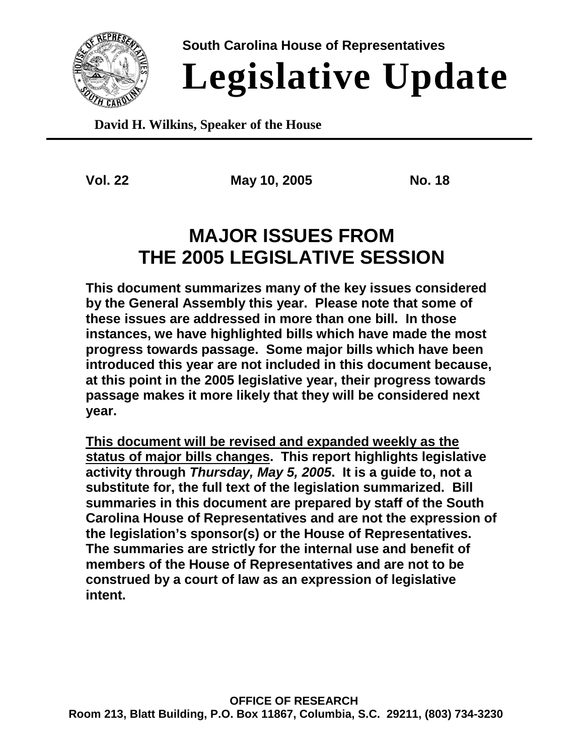

**South Carolina House of Representatives**

# **Legislative Update**

**David H. Wilkins, Speaker of the House**

**Vol. 22 May 10, 2005 No. 18**

## **MAJOR ISSUES FROM THE 2005 LEGISLATIVE SESSION**

**This document summarizes many of the key issues considered by the General Assembly this year. Please note that some of these issues are addressed in more than one bill. In those instances, we have highlighted bills which have made the most progress towards passage. Some major bills which have been introduced this year are not included in this document because, at this point in the 2005 legislative year, their progress towards passage makes it more likely that they will be considered next year.**

**This document will be revised and expanded weekly as the status of major bills changes. This report highlights legislative activity through** *Thursday, May 5, 2005***. It is a guide to, not a substitute for, the full text of the legislation summarized. Bill summaries in this document are prepared by staff of the South Carolina House of Representatives and are not the expression of the legislation's sponsor(s) or the House of Representatives. The summaries are strictly for the internal use and benefit of members of the House of Representatives and are not to be construed by a court of law as an expression of legislative intent.**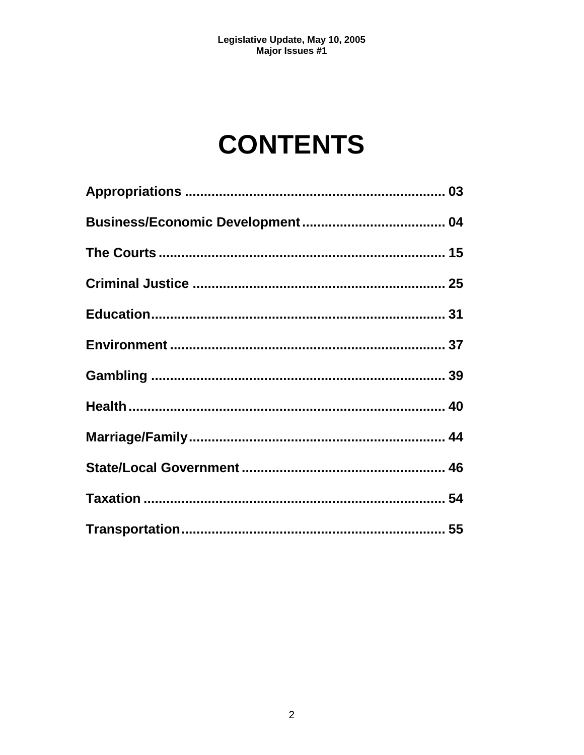## **CONTENTS**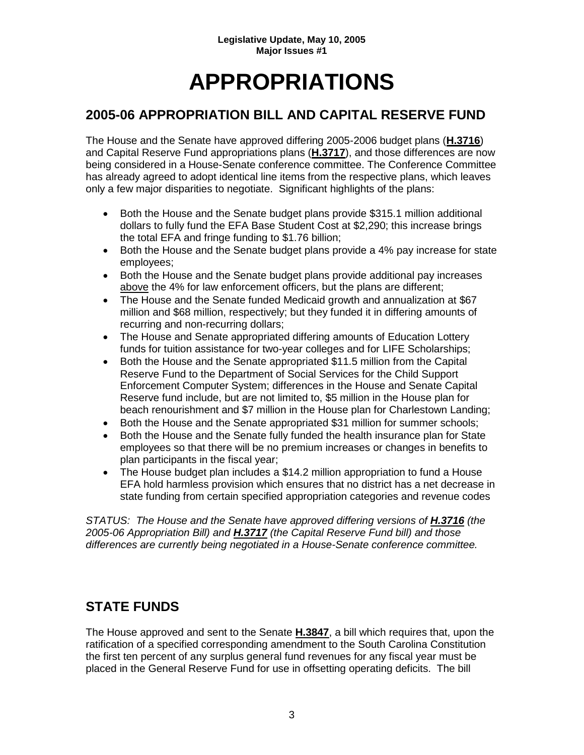## **APPROPRIATIONS**

## **2005-06 APPROPRIATION BILL AND CAPITAL RESERVE FUND**

The House and the Senate have approved differing 2005-2006 budget plans (**H.3716**) and Capital Reserve Fund appropriations plans (**H.3717**), and those differences are now being considered in a House-Senate conference committee. The Conference Committee has already agreed to adopt identical line items from the respective plans, which leaves only a few major disparities to negotiate. Significant highlights of the plans:

- Both the House and the Senate budget plans provide \$315.1 million additional dollars to fully fund the EFA Base Student Cost at \$2,290; this increase brings the total EFA and fringe funding to \$1.76 billion;
- Both the House and the Senate budget plans provide a 4% pay increase for state employees;
- Both the House and the Senate budget plans provide additional pay increases above the 4% for law enforcement officers, but the plans are different;
- The House and the Senate funded Medicaid growth and annualization at \$67 million and \$68 million, respectively; but they funded it in differing amounts of recurring and non-recurring dollars;
- The House and Senate appropriated differing amounts of Education Lottery funds for tuition assistance for two-year colleges and for LIFE Scholarships;
- Both the House and the Senate appropriated \$11.5 million from the Capital Reserve Fund to the Department of Social Services for the Child Support Enforcement Computer System; differences in the House and Senate Capital Reserve fund include, but are not limited to, \$5 million in the House plan for beach renourishment and \$7 million in the House plan for Charlestown Landing;
- Both the House and the Senate appropriated \$31 million for summer schools;
- Both the House and the Senate fully funded the health insurance plan for State employees so that there will be no premium increases or changes in benefits to plan participants in the fiscal year;
- The House budget plan includes a \$14.2 million appropriation to fund a House EFA hold harmless provision which ensures that no district has a net decrease in state funding from certain specified appropriation categories and revenue codes

*STATUS: The House and the Senate have approved differing versions of H.3716 (the 2005-06 Appropriation Bill) and H.3717 (the Capital Reserve Fund bill) and those differences are currently being negotiated in a House-Senate conference committee.*

## **STATE FUNDS**

The House approved and sent to the Senate **H.3847**, a bill which requires that, upon the ratification of a specified corresponding amendment to the South Carolina Constitution the first ten percent of any surplus general fund revenues for any fiscal year must be placed in the General Reserve Fund for use in offsetting operating deficits. The bill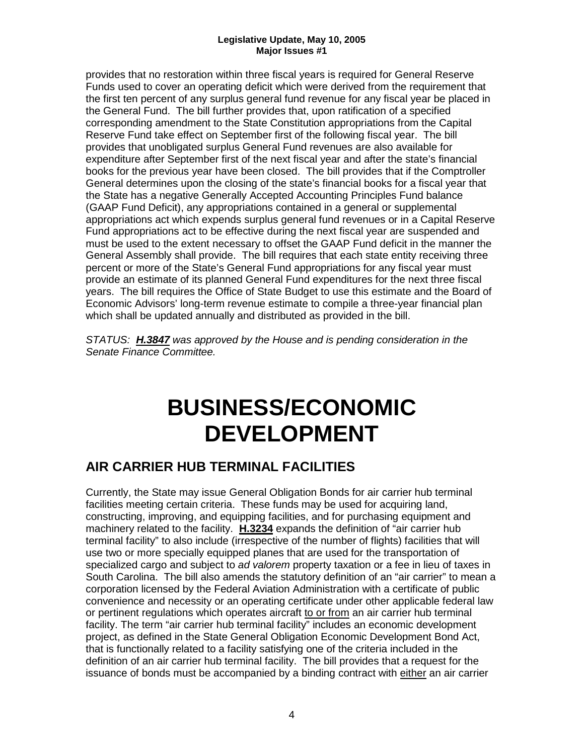provides that no restoration within three fiscal years is required for General Reserve Funds used to cover an operating deficit which were derived from the requirement that the first ten percent of any surplus general fund revenue for any fiscal year be placed in the General Fund. The bill further provides that, upon ratification of a specified corresponding amendment to the State Constitution appropriations from the Capital Reserve Fund take effect on September first of the following fiscal year. The bill provides that unobligated surplus General Fund revenues are also available for expenditure after September first of the next fiscal year and after the state's financial books for the previous year have been closed. The bill provides that if the Comptroller General determines upon the closing of the state's financial books for a fiscal year that the State has a negative Generally Accepted Accounting Principles Fund balance (GAAP Fund Deficit), any appropriations contained in a general or supplemental appropriations act which expends surplus general fund revenues or in a Capital Reserve Fund appropriations act to be effective during the next fiscal year are suspended and must be used to the extent necessary to offset the GAAP Fund deficit in the manner the General Assembly shall provide. The bill requires that each state entity receiving three percent or more of the State's General Fund appropriations for any fiscal year must provide an estimate of its planned General Fund expenditures for the next three fiscal years. The bill requires the Office of State Budget to use this estimate and the Board of Economic Advisors' long-term revenue estimate to compile a three-year financial plan which shall be updated annually and distributed as provided in the bill.

*STATUS: H.3847 was approved by the House and is pending consideration in the Senate Finance Committee.*

## **BUSINESS/ECONOMIC DEVELOPMENT**

## **AIR CARRIER HUB TERMINAL FACILITIES**

Currently, the State may issue General Obligation Bonds for air carrier hub terminal facilities meeting certain criteria. These funds may be used for acquiring land, constructing, improving, and equipping facilities, and for purchasing equipment and machinery related to the facility. **H.3234** expands the definition of "air carrier hub terminal facility" to also include (irrespective of the number of flights) facilities that will use two or more specially equipped planes that are used for the transportation of specialized cargo and subject to *ad valorem* property taxation or a fee in lieu of taxes in South Carolina. The bill also amends the statutory definition of an "air carrier" to mean a corporation licensed by the Federal Aviation Administration with a certificate of public convenience and necessity or an operating certificate under other applicable federal law or pertinent regulations which operates aircraft to or from an air carrier hub terminal facility. The term "air carrier hub terminal facility" includes an economic development project, as defined in the State General Obligation Economic Development Bond Act, that is functionally related to a facility satisfying one of the criteria included in the definition of an air carrier hub terminal facility. The bill provides that a request for the issuance of bonds must be accompanied by a binding contract with either an air carrier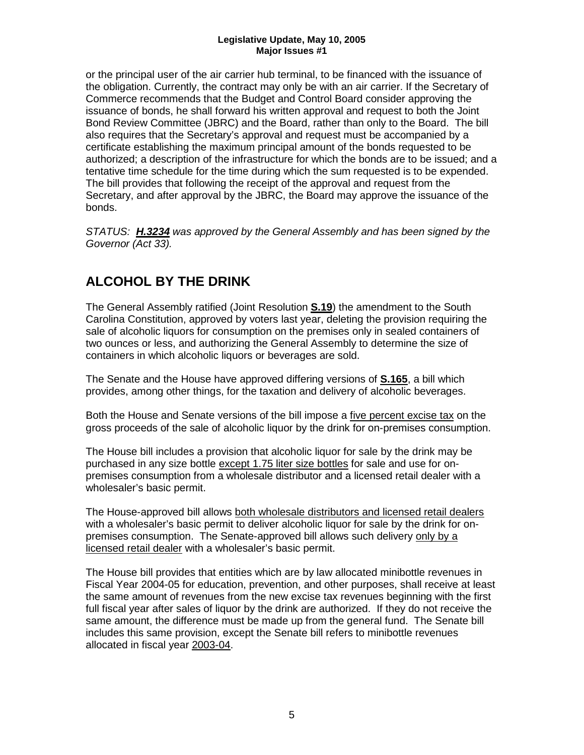or the principal user of the air carrier hub terminal, to be financed with the issuance of the obligation. Currently, the contract may only be with an air carrier. If the Secretary of Commerce recommends that the Budget and Control Board consider approving the issuance of bonds, he shall forward his written approval and request to both the Joint Bond Review Committee (JBRC) and the Board, rather than only to the Board. The bill also requires that the Secretary's approval and request must be accompanied by a certificate establishing the maximum principal amount of the bonds requested to be authorized; a description of the infrastructure for which the bonds are to be issued; and a tentative time schedule for the time during which the sum requested is to be expended. The bill provides that following the receipt of the approval and request from the Secretary, and after approval by the JBRC, the Board may approve the issuance of the bonds.

*STATUS: H.3234 was approved by the General Assembly and has been signed by the Governor (Act 33).*

## **ALCOHOL BY THE DRINK**

The General Assembly ratified (Joint Resolution **S.19**) the amendment to the South Carolina Constitution, approved by voters last year, deleting the provision requiring the sale of alcoholic liquors for consumption on the premises only in sealed containers of two ounces or less, and authorizing the General Assembly to determine the size of containers in which alcoholic liquors or beverages are sold.

The Senate and the House have approved differing versions of **S.165**, a bill which provides, among other things, for the taxation and delivery of alcoholic beverages.

Both the House and Senate versions of the bill impose a five percent excise tax on the gross proceeds of the sale of alcoholic liquor by the drink for on-premises consumption.

The House bill includes a provision that alcoholic liquor for sale by the drink may be purchased in any size bottle except 1.75 liter size bottles for sale and use for onpremises consumption from a wholesale distributor and a licensed retail dealer with a wholesaler's basic permit.

The House-approved bill allows both wholesale distributors and licensed retail dealers with a wholesaler's basic permit to deliver alcoholic liquor for sale by the drink for onpremises consumption. The Senate-approved bill allows such delivery only by a licensed retail dealer with a wholesaler's basic permit.

The House bill provides that entities which are by law allocated minibottle revenues in Fiscal Year 2004-05 for education, prevention, and other purposes, shall receive at least the same amount of revenues from the new excise tax revenues beginning with the first full fiscal year after sales of liquor by the drink are authorized. If they do not receive the same amount, the difference must be made up from the general fund. The Senate bill includes this same provision, except the Senate bill refers to minibottle revenues allocated in fiscal year 2003-04.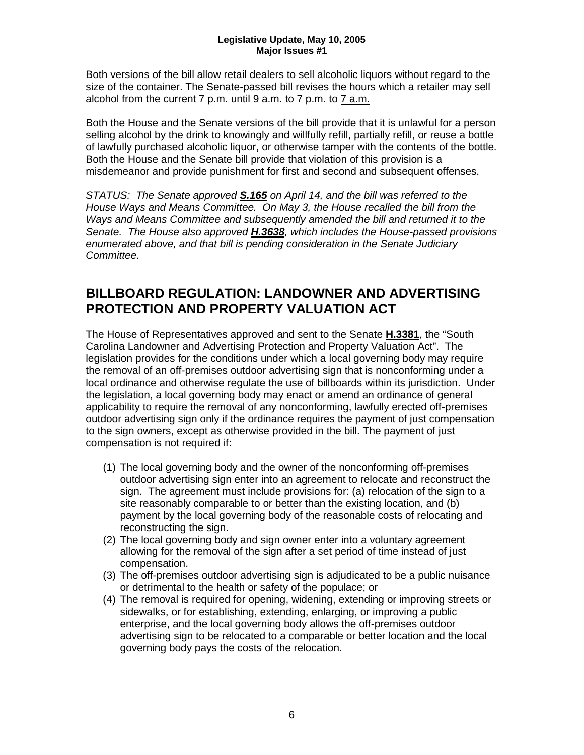Both versions of the bill allow retail dealers to sell alcoholic liquors without regard to the size of the container. The Senate-passed bill revises the hours which a retailer may sell alcohol from the current 7 p.m. until 9 a.m. to 7 p.m. to 7 a.m.

Both the House and the Senate versions of the bill provide that it is unlawful for a person selling alcohol by the drink to knowingly and willfully refill, partially refill, or reuse a bottle of lawfully purchased alcoholic liquor, or otherwise tamper with the contents of the bottle. Both the House and the Senate bill provide that violation of this provision is a misdemeanor and provide punishment for first and second and subsequent offenses.

*STATUS: The Senate approved S.165 on April 14, and the bill was referred to the House Ways and Means Committee. On May 3, the House recalled the bill from the Ways and Means Committee and subsequently amended the bill and returned it to the Senate. The House also approved H.3638, which includes the House-passed provisions enumerated above, and that bill is pending consideration in the Senate Judiciary Committee.*

## **BILLBOARD REGULATION: LANDOWNER AND ADVERTISING PROTECTION AND PROPERTY VALUATION ACT**

The House of Representatives approved and sent to the Senate **H.3381**, the "South Carolina Landowner and Advertising Protection and Property Valuation Act". The legislation provides for the conditions under which a local governing body may require the removal of an off-premises outdoor advertising sign that is nonconforming under a local ordinance and otherwise regulate the use of billboards within its jurisdiction. Under the legislation, a local governing body may enact or amend an ordinance of general applicability to require the removal of any nonconforming, lawfully erected off-premises outdoor advertising sign only if the ordinance requires the payment of just compensation to the sign owners, except as otherwise provided in the bill. The payment of just compensation is not required if:

- (1) The local governing body and the owner of the nonconforming off-premises outdoor advertising sign enter into an agreement to relocate and reconstruct the sign. The agreement must include provisions for: (a) relocation of the sign to a site reasonably comparable to or better than the existing location, and (b) payment by the local governing body of the reasonable costs of relocating and reconstructing the sign.
- (2) The local governing body and sign owner enter into a voluntary agreement allowing for the removal of the sign after a set period of time instead of just compensation.
- (3) The off-premises outdoor advertising sign is adjudicated to be a public nuisance or detrimental to the health or safety of the populace; or
- (4) The removal is required for opening, widening, extending or improving streets or sidewalks, or for establishing, extending, enlarging, or improving a public enterprise, and the local governing body allows the off-premises outdoor advertising sign to be relocated to a comparable or better location and the local governing body pays the costs of the relocation.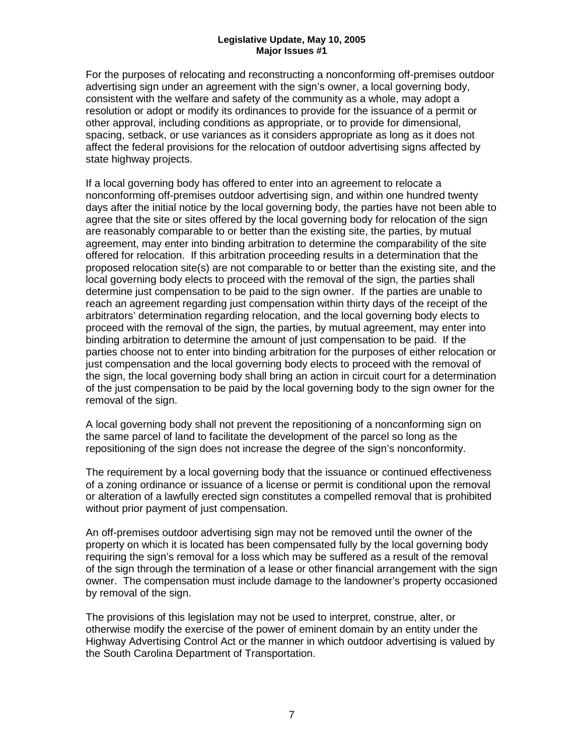For the purposes of relocating and reconstructing a nonconforming off-premises outdoor advertising sign under an agreement with the sign's owner, a local governing body, consistent with the welfare and safety of the community as a whole, may adopt a resolution or adopt or modify its ordinances to provide for the issuance of a permit or other approval, including conditions as appropriate, or to provide for dimensional, spacing, setback, or use variances as it considers appropriate as long as it does not affect the federal provisions for the relocation of outdoor advertising signs affected by state highway projects.

If a local governing body has offered to enter into an agreement to relocate a nonconforming off-premises outdoor advertising sign, and within one hundred twenty days after the initial notice by the local governing body, the parties have not been able to agree that the site or sites offered by the local governing body for relocation of the sign are reasonably comparable to or better than the existing site, the parties, by mutual agreement, may enter into binding arbitration to determine the comparability of the site offered for relocation. If this arbitration proceeding results in a determination that the proposed relocation site(s) are not comparable to or better than the existing site, and the local governing body elects to proceed with the removal of the sign, the parties shall determine just compensation to be paid to the sign owner. If the parties are unable to reach an agreement regarding just compensation within thirty days of the receipt of the arbitrators' determination regarding relocation, and the local governing body elects to proceed with the removal of the sign, the parties, by mutual agreement, may enter into binding arbitration to determine the amount of just compensation to be paid. If the parties choose not to enter into binding arbitration for the purposes of either relocation or just compensation and the local governing body elects to proceed with the removal of the sign, the local governing body shall bring an action in circuit court for a determination of the just compensation to be paid by the local governing body to the sign owner for the removal of the sign.

A local governing body shall not prevent the repositioning of a nonconforming sign on the same parcel of land to facilitate the development of the parcel so long as the repositioning of the sign does not increase the degree of the sign's nonconformity.

The requirement by a local governing body that the issuance or continued effectiveness of a zoning ordinance or issuance of a license or permit is conditional upon the removal or alteration of a lawfully erected sign constitutes a compelled removal that is prohibited without prior payment of just compensation.

An off-premises outdoor advertising sign may not be removed until the owner of the property on which it is located has been compensated fully by the local governing body requiring the sign's removal for a loss which may be suffered as a result of the removal of the sign through the termination of a lease or other financial arrangement with the sign owner. The compensation must include damage to the landowner's property occasioned by removal of the sign.

The provisions of this legislation may not be used to interpret, construe, alter, or otherwise modify the exercise of the power of eminent domain by an entity under the Highway Advertising Control Act or the manner in which outdoor advertising is valued by the South Carolina Department of Transportation.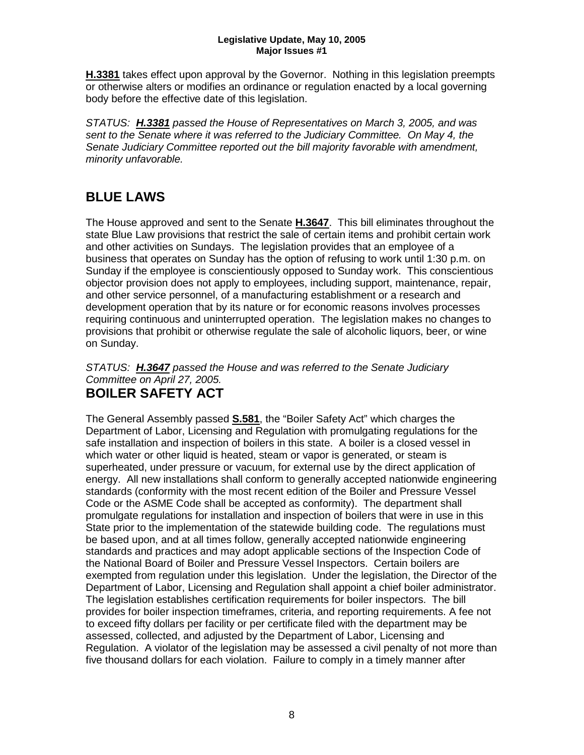**H.3381** takes effect upon approval by the Governor. Nothing in this legislation preempts or otherwise alters or modifies an ordinance or regulation enacted by a local governing body before the effective date of this legislation.

*STATUS: H.3381 passed the House of Representatives on March 3, 2005, and was sent to the Senate where it was referred to the Judiciary Committee. On May 4, the Senate Judiciary Committee reported out the bill majority favorable with amendment, minority unfavorable.*

## **BLUE LAWS**

The House approved and sent to the Senate **H.3647**. This bill eliminates throughout the state Blue Law provisions that restrict the sale of certain items and prohibit certain work and other activities on Sundays. The legislation provides that an employee of a business that operates on Sunday has the option of refusing to work until 1:30 p.m. on Sunday if the employee is conscientiously opposed to Sunday work. This conscientious objector provision does not apply to employees, including support, maintenance, repair, and other service personnel, of a manufacturing establishment or a research and development operation that by its nature or for economic reasons involves processes requiring continuous and uninterrupted operation. The legislation makes no changes to provisions that prohibit or otherwise regulate the sale of alcoholic liquors, beer, or wine on Sunday.

#### *STATUS: H.3647 passed the House and was referred to the Senate Judiciary Committee on April 27, 2005.* **BOILER SAFETY ACT**

The General Assembly passed **S.581**, the "Boiler Safety Act" which charges the Department of Labor, Licensing and Regulation with promulgating regulations for the safe installation and inspection of boilers in this state. A boiler is a closed vessel in which water or other liquid is heated, steam or vapor is generated, or steam is superheated, under pressure or vacuum, for external use by the direct application of energy. All new installations shall conform to generally accepted nationwide engineering standards (conformity with the most recent edition of the Boiler and Pressure Vessel Code or the ASME Code shall be accepted as conformity). The department shall promulgate regulations for installation and inspection of boilers that were in use in this State prior to the implementation of the statewide building code. The regulations must be based upon, and at all times follow, generally accepted nationwide engineering standards and practices and may adopt applicable sections of the Inspection Code of the National Board of Boiler and Pressure Vessel Inspectors. Certain boilers are exempted from regulation under this legislation. Under the legislation, the Director of the Department of Labor, Licensing and Regulation shall appoint a chief boiler administrator. The legislation establishes certification requirements for boiler inspectors. The bill provides for boiler inspection timeframes, criteria, and reporting requirements. A fee not to exceed fifty dollars per facility or per certificate filed with the department may be assessed, collected, and adjusted by the Department of Labor, Licensing and Regulation. A violator of the legislation may be assessed a civil penalty of not more than five thousand dollars for each violation. Failure to comply in a timely manner after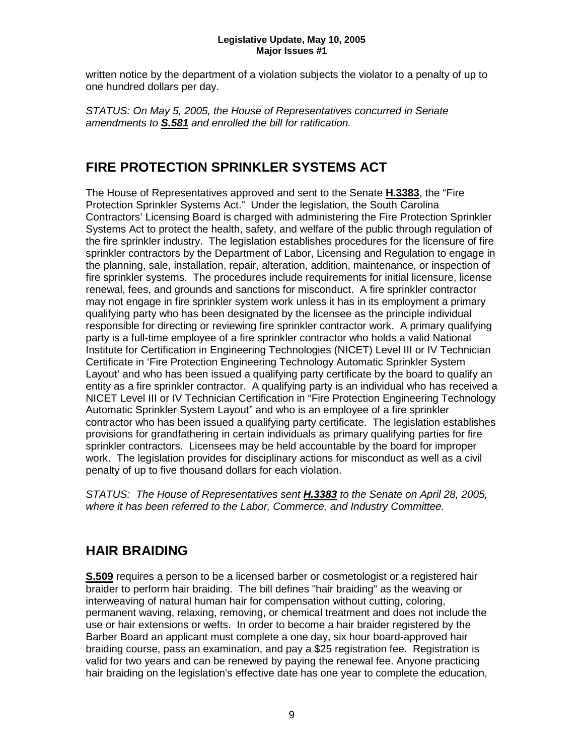written notice by the department of a violation subjects the violator to a penalty of up to one hundred dollars per day.

*STATUS: On May 5, 2005, the House of Representatives concurred in Senate amendments to S.581 and enrolled the bill for ratification.*

## **FIRE PROTECTION SPRINKLER SYSTEMS ACT**

The House of Representatives approved and sent to the Senate **H.3383**, the "Fire Protection Sprinkler Systems Act." Under the legislation, the South Carolina Contractors' Licensing Board is charged with administering the Fire Protection Sprinkler Systems Act to protect the health, safety, and welfare of the public through regulation of the fire sprinkler industry. The legislation establishes procedures for the licensure of fire sprinkler contractors by the Department of Labor, Licensing and Regulation to engage in the planning, sale, installation, repair, alteration, addition, maintenance, or inspection of fire sprinkler systems. The procedures include requirements for initial licensure, license renewal, fees, and grounds and sanctions for misconduct. A fire sprinkler contractor may not engage in fire sprinkler system work unless it has in its employment a primary qualifying party who has been designated by the licensee as the principle individual responsible for directing or reviewing fire sprinkler contractor work. A primary qualifying party is a full-time employee of a fire sprinkler contractor who holds a valid National Institute for Certification in Engineering Technologies (NICET) Level III or IV Technician Certificate in 'Fire Protection Engineering Technology Automatic Sprinkler System Layout' and who has been issued a qualifying party certificate by the board to qualify an entity as a fire sprinkler contractor. A qualifying party is an individual who has received a NICET Level III or IV Technician Certification in "Fire Protection Engineering Technology Automatic Sprinkler System Layout" and who is an employee of a fire sprinkler contractor who has been issued a qualifying party certificate. The legislation establishes provisions for grandfathering in certain individuals as primary qualifying parties for fire sprinkler contractors. Licensees may be held accountable by the board for improper work. The legislation provides for disciplinary actions for misconduct as well as a civil penalty of up to five thousand dollars for each violation.

*STATUS: The House of Representatives sent H.3383 to the Senate on April 28, 2005, where it has been referred to the Labor, Commerce, and Industry Committee.*

## **HAIR BRAIDING**

**S.509** requires a person to be a licensed barber or cosmetologist or a registered hair braider to perform hair braiding. The bill defines "hair braiding" as the weaving or interweaving of natural human hair for compensation without cutting, coloring, permanent waving, relaxing, removing, or chemical treatment and does not include the use or hair extensions or wefts. In order to become a hair braider registered by the Barber Board an applicant must complete a one day, six hour board-approved hair braiding course, pass an examination, and pay a \$25 registration fee. Registration is valid for two years and can be renewed by paying the renewal fee. Anyone practicing hair braiding on the legislation's effective date has one year to complete the education,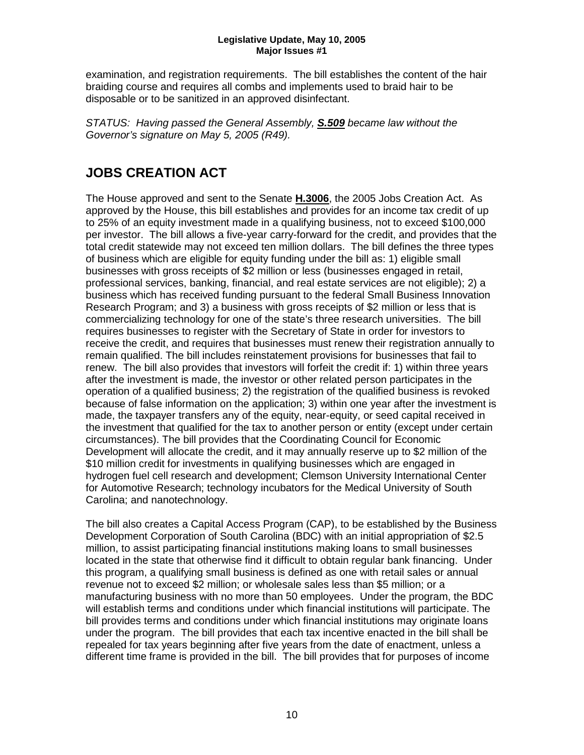examination, and registration requirements. The bill establishes the content of the hair braiding course and requires all combs and implements used to braid hair to be disposable or to be sanitized in an approved disinfectant.

*STATUS: Having passed the General Assembly, S.509 became law without the Governor's signature on May 5, 2005 (R49).*

## **JOBS CREATION ACT**

The House approved and sent to the Senate **H.3006**, the 2005 Jobs Creation Act. As approved by the House, this bill establishes and provides for an income tax credit of up to 25% of an equity investment made in a qualifying business, not to exceed \$100,000 per investor. The bill allows a five-year carry-forward for the credit, and provides that the total credit statewide may not exceed ten million dollars. The bill defines the three types of business which are eligible for equity funding under the bill as: 1) eligible small businesses with gross receipts of \$2 million or less (businesses engaged in retail, professional services, banking, financial, and real estate services are not eligible); 2) a business which has received funding pursuant to the federal Small Business Innovation Research Program; and 3) a business with gross receipts of \$2 million or less that is commercializing technology for one of the state's three research universities. The bill requires businesses to register with the Secretary of State in order for investors to receive the credit, and requires that businesses must renew their registration annually to remain qualified. The bill includes reinstatement provisions for businesses that fail to renew. The bill also provides that investors will forfeit the credit if: 1) within three years after the investment is made, the investor or other related person participates in the operation of a qualified business; 2) the registration of the qualified business is revoked because of false information on the application; 3) within one year after the investment is made, the taxpayer transfers any of the equity, near-equity, or seed capital received in the investment that qualified for the tax to another person or entity (except under certain circumstances). The bill provides that the Coordinating Council for Economic Development will allocate the credit, and it may annually reserve up to \$2 million of the \$10 million credit for investments in qualifying businesses which are engaged in hydrogen fuel cell research and development; Clemson University International Center for Automotive Research; technology incubators for the Medical University of South Carolina; and nanotechnology.

The bill also creates a Capital Access Program (CAP), to be established by the Business Development Corporation of South Carolina (BDC) with an initial appropriation of \$2.5 million, to assist participating financial institutions making loans to small businesses located in the state that otherwise find it difficult to obtain regular bank financing. Under this program, a qualifying small business is defined as one with retail sales or annual revenue not to exceed \$2 million; or wholesale sales less than \$5 million; or a manufacturing business with no more than 50 employees. Under the program, the BDC will establish terms and conditions under which financial institutions will participate. The bill provides terms and conditions under which financial institutions may originate loans under the program. The bill provides that each tax incentive enacted in the bill shall be repealed for tax years beginning after five years from the date of enactment, unless a different time frame is provided in the bill. The bill provides that for purposes of income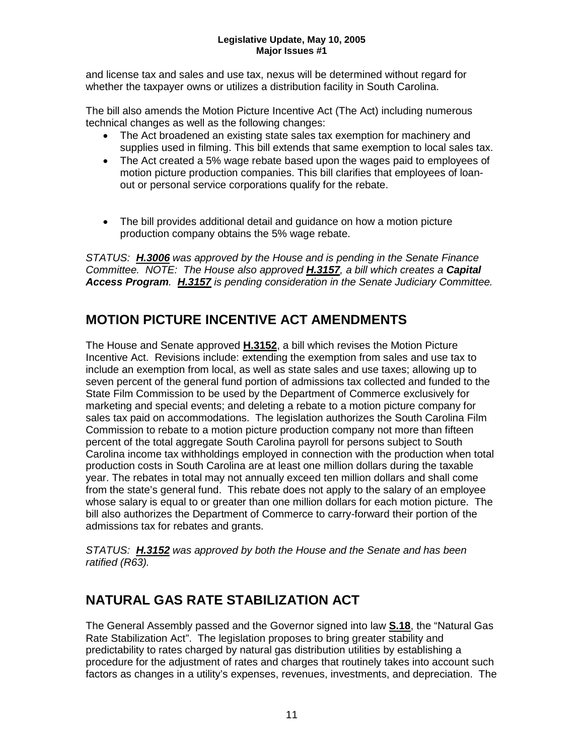and license tax and sales and use tax, nexus will be determined without regard for whether the taxpayer owns or utilizes a distribution facility in South Carolina.

The bill also amends the Motion Picture Incentive Act (The Act) including numerous technical changes as well as the following changes:

- The Act broadened an existing state sales tax exemption for machinery and supplies used in filming. This bill extends that same exemption to local sales tax.
- The Act created a 5% wage rebate based upon the wages paid to employees of motion picture production companies. This bill clarifies that employees of loanout or personal service corporations qualify for the rebate.
- The bill provides additional detail and guidance on how a motion picture production company obtains the 5% wage rebate.

*STATUS: H.3006 was approved by the House and is pending in the Senate Finance Committee. NOTE: The House also approved H.3157, a bill which creates a Capital Access Program. H.3157 is pending consideration in the Senate Judiciary Committee.*

## **MOTION PICTURE INCENTIVE ACT AMENDMENTS**

The House and Senate approved **H.3152**, a bill which revises the Motion Picture Incentive Act. Revisions include: extending the exemption from sales and use tax to include an exemption from local, as well as state sales and use taxes; allowing up to seven percent of the general fund portion of admissions tax collected and funded to the State Film Commission to be used by the Department of Commerce exclusively for marketing and special events; and deleting a rebate to a motion picture company for sales tax paid on accommodations. The legislation authorizes the South Carolina Film Commission to rebate to a motion picture production company not more than fifteen percent of the total aggregate South Carolina payroll for persons subject to South Carolina income tax withholdings employed in connection with the production when total production costs in South Carolina are at least one million dollars during the taxable year. The rebates in total may not annually exceed ten million dollars and shall come from the state's general fund. This rebate does not apply to the salary of an employee whose salary is equal to or greater than one million dollars for each motion picture. The bill also authorizes the Department of Commerce to carry-forward their portion of the admissions tax for rebates and grants.

*STATUS: H.3152 was approved by both the House and the Senate and has been ratified (R63).*

## **NATURAL GAS RATE STABILIZATION ACT**

The General Assembly passed and the Governor signed into law **S.18**, the "Natural Gas Rate Stabilization Act". The legislation proposes to bring greater stability and predictability to rates charged by natural gas distribution utilities by establishing a procedure for the adjustment of rates and charges that routinely takes into account such factors as changes in a utility's expenses, revenues, investments, and depreciation. The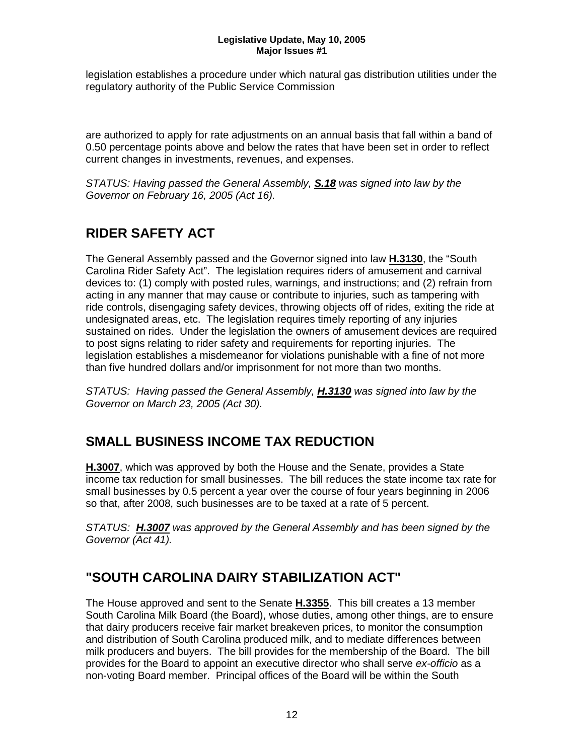legislation establishes a procedure under which natural gas distribution utilities under the regulatory authority of the Public Service Commission

are authorized to apply for rate adjustments on an annual basis that fall within a band of 0.50 percentage points above and below the rates that have been set in order to reflect current changes in investments, revenues, and expenses.

*STATUS: Having passed the General Assembly, S.18 was signed into law by the Governor on February 16, 2005 (Act 16).*

## **RIDER SAFETY ACT**

The General Assembly passed and the Governor signed into law **H.3130**, the "South Carolina Rider Safety Act". The legislation requires riders of amusement and carnival devices to: (1) comply with posted rules, warnings, and instructions; and (2) refrain from acting in any manner that may cause or contribute to injuries, such as tampering with ride controls, disengaging safety devices, throwing objects off of rides, exiting the ride at undesignated areas, etc. The legislation requires timely reporting of any injuries sustained on rides. Under the legislation the owners of amusement devices are required to post signs relating to rider safety and requirements for reporting injuries. The legislation establishes a misdemeanor for violations punishable with a fine of not more than five hundred dollars and/or imprisonment for not more than two months.

*STATUS: Having passed the General Assembly, H.3130 was signed into law by the Governor on March 23, 2005 (Act 30).*

## **SMALL BUSINESS INCOME TAX REDUCTION**

**H.3007**, which was approved by both the House and the Senate, provides a State income tax reduction for small businesses. The bill reduces the state income tax rate for small businesses by 0.5 percent a year over the course of four years beginning in 2006 so that, after 2008, such businesses are to be taxed at a rate of 5 percent.

*STATUS: H.3007 was approved by the General Assembly and has been signed by the Governor (Act 41).*

## **"SOUTH CAROLINA DAIRY STABILIZATION ACT"**

The House approved and sent to the Senate **H.3355**. This bill creates a 13 member South Carolina Milk Board (the Board), whose duties, among other things, are to ensure that dairy producers receive fair market breakeven prices, to monitor the consumption and distribution of South Carolina produced milk, and to mediate differences between milk producers and buyers. The bill provides for the membership of the Board. The bill provides for the Board to appoint an executive director who shall serve *ex-officio* as a non-voting Board member. Principal offices of the Board will be within the South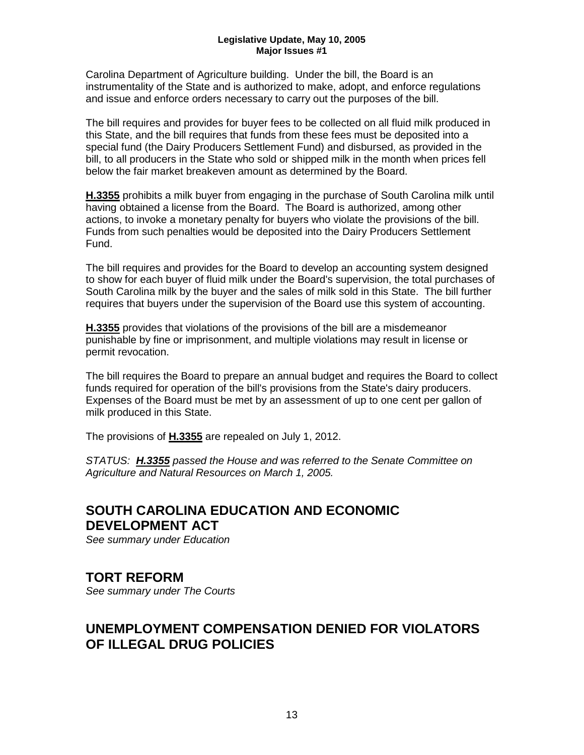Carolina Department of Agriculture building. Under the bill, the Board is an instrumentality of the State and is authorized to make, adopt, and enforce regulations and issue and enforce orders necessary to carry out the purposes of the bill.

The bill requires and provides for buyer fees to be collected on all fluid milk produced in this State, and the bill requires that funds from these fees must be deposited into a special fund (the Dairy Producers Settlement Fund) and disbursed, as provided in the bill, to all producers in the State who sold or shipped milk in the month when prices fell below the fair market breakeven amount as determined by the Board.

**H.3355** prohibits a milk buyer from engaging in the purchase of South Carolina milk until having obtained a license from the Board. The Board is authorized, among other actions, to invoke a monetary penalty for buyers who violate the provisions of the bill. Funds from such penalties would be deposited into the Dairy Producers Settlement Fund.

The bill requires and provides for the Board to develop an accounting system designed to show for each buyer of fluid milk under the Board's supervision, the total purchases of South Carolina milk by the buyer and the sales of milk sold in this State. The bill further requires that buyers under the supervision of the Board use this system of accounting.

**H.3355** provides that violations of the provisions of the bill are a misdemeanor punishable by fine or imprisonment, and multiple violations may result in license or permit revocation.

The bill requires the Board to prepare an annual budget and requires the Board to collect funds required for operation of the bill's provisions from the State's dairy producers. Expenses of the Board must be met by an assessment of up to one cent per gallon of milk produced in this State.

The provisions of **H.3355** are repealed on July 1, 2012.

*STATUS: H.3355 passed the House and was referred to the Senate Committee on Agriculture and Natural Resources on March 1, 2005.*

## **SOUTH CAROLINA EDUCATION AND ECONOMIC DEVELOPMENT ACT**

*See summary under Education*

### **TORT REFORM**

*See summary under The Courts*

### **UNEMPLOYMENT COMPENSATION DENIED FOR VIOLATORS OF ILLEGAL DRUG POLICIES**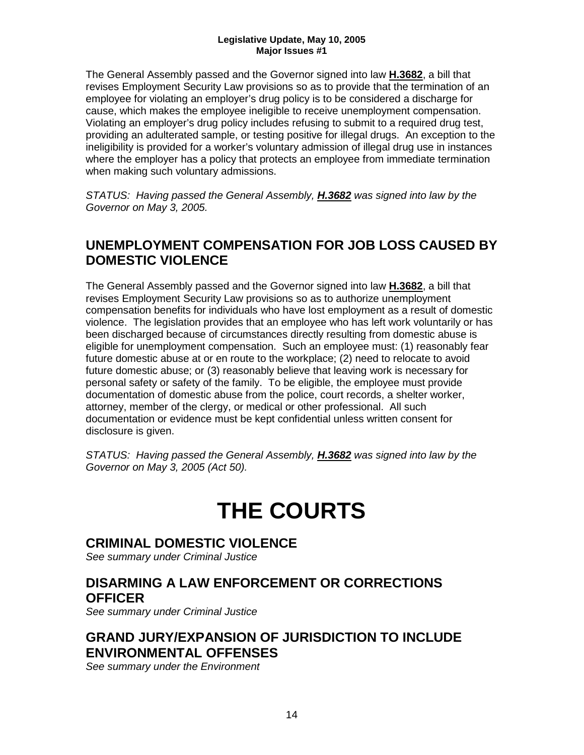The General Assembly passed and the Governor signed into law **H.3682**, a bill that revises Employment Security Law provisions so as to provide that the termination of an employee for violating an employer's drug policy is to be considered a discharge for cause, which makes the employee ineligible to receive unemployment compensation. Violating an employer's drug policy includes refusing to submit to a required drug test, providing an adulterated sample, or testing positive for illegal drugs. An exception to the ineligibility is provided for a worker's voluntary admission of illegal drug use in instances where the employer has a policy that protects an employee from immediate termination when making such voluntary admissions.

*STATUS: Having passed the General Assembly, H.3682 was signed into law by the Governor on May 3, 2005.*

## **UNEMPLOYMENT COMPENSATION FOR JOB LOSS CAUSED BY DOMESTIC VIOLENCE**

The General Assembly passed and the Governor signed into law **H.3682**, a bill that revises Employment Security Law provisions so as to authorize unemployment compensation benefits for individuals who have lost employment as a result of domestic violence. The legislation provides that an employee who has left work voluntarily or has been discharged because of circumstances directly resulting from domestic abuse is eligible for unemployment compensation. Such an employee must: (1) reasonably fear future domestic abuse at or en route to the workplace; (2) need to relocate to avoid future domestic abuse; or (3) reasonably believe that leaving work is necessary for personal safety or safety of the family. To be eligible, the employee must provide documentation of domestic abuse from the police, court records, a shelter worker, attorney, member of the clergy, or medical or other professional. All such documentation or evidence must be kept confidential unless written consent for disclosure is given.

*STATUS: Having passed the General Assembly, H.3682 was signed into law by the Governor on May 3, 2005 (Act 50).*

## **THE COURTS**

### **CRIMINAL DOMESTIC VIOLENCE**

*See summary under Criminal Justice*

## **DISARMING A LAW ENFORCEMENT OR CORRECTIONS OFFICER**

*See summary under Criminal Justice*

### **GRAND JURY/EXPANSION OF JURISDICTION TO INCLUDE ENVIRONMENTAL OFFENSES**

*See summary under the Environment*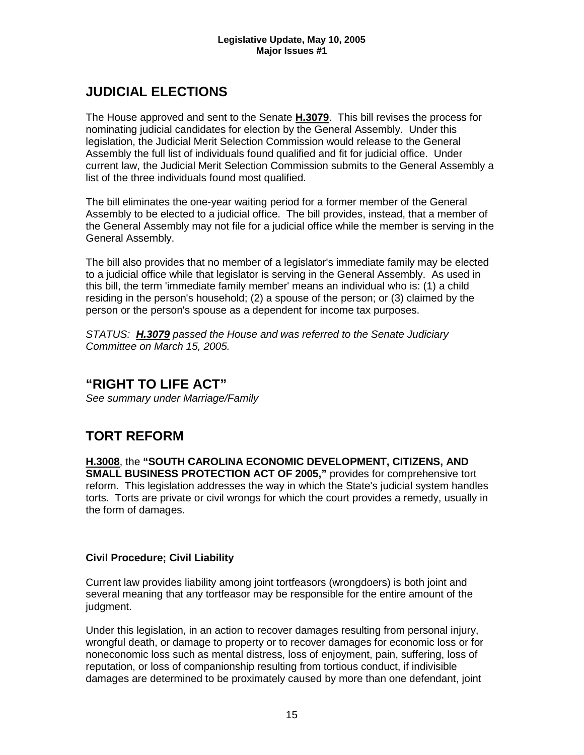## **JUDICIAL ELECTIONS**

The House approved and sent to the Senate **H.3079**. This bill revises the process for nominating judicial candidates for election by the General Assembly. Under this legislation, the Judicial Merit Selection Commission would release to the General Assembly the full list of individuals found qualified and fit for judicial office. Under current law, the Judicial Merit Selection Commission submits to the General Assembly a list of the three individuals found most qualified.

The bill eliminates the one-year waiting period for a former member of the General Assembly to be elected to a judicial office. The bill provides, instead, that a member of the General Assembly may not file for a judicial office while the member is serving in the General Assembly.

The bill also provides that no member of a legislator's immediate family may be elected to a judicial office while that legislator is serving in the General Assembly. As used in this bill, the term 'immediate family member' means an individual who is: (1) a child residing in the person's household; (2) a spouse of the person; or (3) claimed by the person or the person's spouse as a dependent for income tax purposes.

*STATUS: H.3079 passed the House and was referred to the Senate Judiciary Committee on March 15, 2005.*

### **"RIGHT TO LIFE ACT"**

*See summary under Marriage/Family*

## **TORT REFORM**

**H.3008**, the **"SOUTH CAROLINA ECONOMIC DEVELOPMENT, CITIZENS, AND SMALL BUSINESS PROTECTION ACT OF 2005,"** provides for comprehensive tort reform. This legislation addresses the way in which the State's judicial system handles torts. Torts are private or civil wrongs for which the court provides a remedy, usually in the form of damages.

#### **Civil Procedure; Civil Liability**

Current law provides liability among joint tortfeasors (wrongdoers) is both joint and several meaning that any tortfeasor may be responsible for the entire amount of the judgment.

Under this legislation, in an action to recover damages resulting from personal injury, wrongful death, or damage to property or to recover damages for economic loss or for noneconomic loss such as mental distress, loss of enjoyment, pain, suffering, loss of reputation, or loss of companionship resulting from tortious conduct, if indivisible damages are determined to be proximately caused by more than one defendant, joint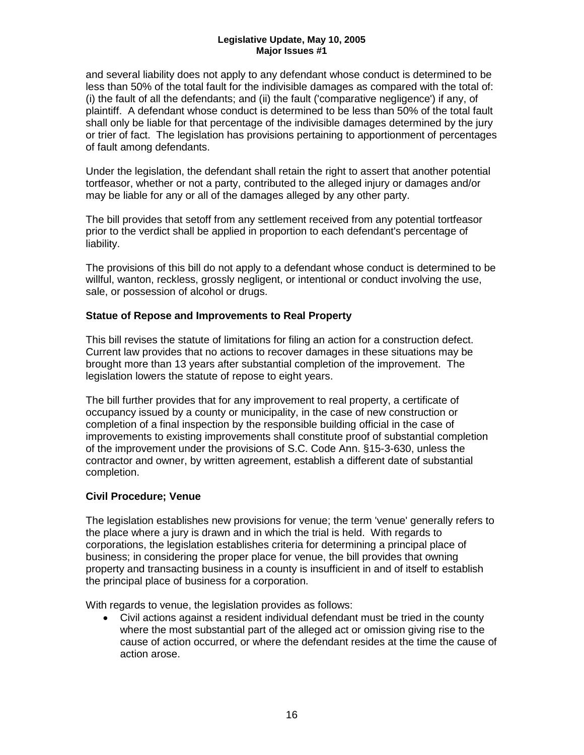and several liability does not apply to any defendant whose conduct is determined to be less than 50% of the total fault for the indivisible damages as compared with the total of: (i) the fault of all the defendants; and (ii) the fault ('comparative negligence') if any, of plaintiff. A defendant whose conduct is determined to be less than 50% of the total fault shall only be liable for that percentage of the indivisible damages determined by the jury or trier of fact. The legislation has provisions pertaining to apportionment of percentages of fault among defendants.

Under the legislation, the defendant shall retain the right to assert that another potential tortfeasor, whether or not a party, contributed to the alleged injury or damages and/or may be liable for any or all of the damages alleged by any other party.

The bill provides that setoff from any settlement received from any potential tortfeasor prior to the verdict shall be applied in proportion to each defendant's percentage of liability.

The provisions of this bill do not apply to a defendant whose conduct is determined to be willful, wanton, reckless, grossly negligent, or intentional or conduct involving the use, sale, or possession of alcohol or drugs.

#### **Statue of Repose and Improvements to Real Property**

This bill revises the statute of limitations for filing an action for a construction defect. Current law provides that no actions to recover damages in these situations may be brought more than 13 years after substantial completion of the improvement. The legislation lowers the statute of repose to eight years.

The bill further provides that for any improvement to real property, a certificate of occupancy issued by a county or municipality, in the case of new construction or completion of a final inspection by the responsible building official in the case of improvements to existing improvements shall constitute proof of substantial completion of the improvement under the provisions of S.C. Code Ann. §15-3-630, unless the contractor and owner, by written agreement, establish a different date of substantial completion.

#### **Civil Procedure; Venue**

The legislation establishes new provisions for venue; the term 'venue' generally refers to the place where a jury is drawn and in which the trial is held. With regards to corporations, the legislation establishes criteria for determining a principal place of business; in considering the proper place for venue, the bill provides that owning property and transacting business in a county is insufficient in and of itself to establish the principal place of business for a corporation.

With regards to venue, the legislation provides as follows:

• Civil actions against a resident individual defendant must be tried in the county where the most substantial part of the alleged act or omission giving rise to the cause of action occurred, or where the defendant resides at the time the cause of action arose.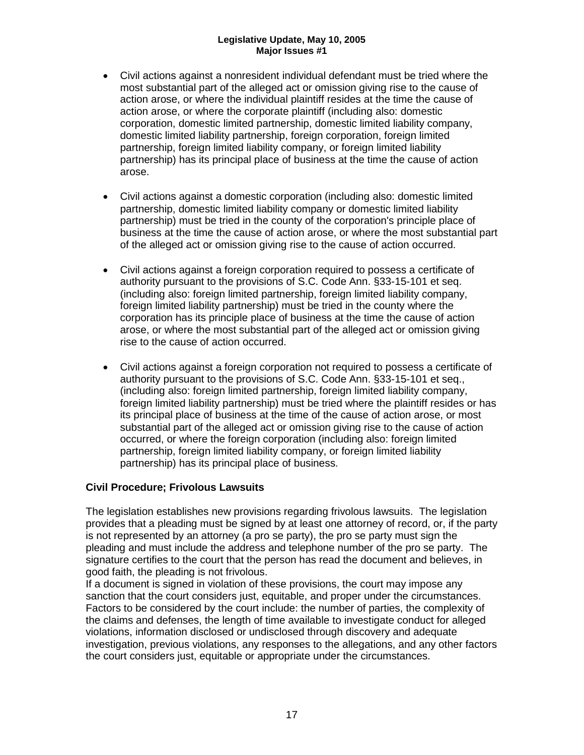- Civil actions against a nonresident individual defendant must be tried where the most substantial part of the alleged act or omission giving rise to the cause of action arose, or where the individual plaintiff resides at the time the cause of action arose, or where the corporate plaintiff (including also: domestic corporation, domestic limited partnership, domestic limited liability company, domestic limited liability partnership, foreign corporation, foreign limited partnership, foreign limited liability company, or foreign limited liability partnership) has its principal place of business at the time the cause of action arose.
- Civil actions against a domestic corporation (including also: domestic limited partnership, domestic limited liability company or domestic limited liability partnership) must be tried in the county of the corporation's principle place of business at the time the cause of action arose, or where the most substantial part of the alleged act or omission giving rise to the cause of action occurred.
- Civil actions against a foreign corporation required to possess a certificate of authority pursuant to the provisions of S.C. Code Ann. §33-15-101 et seq. (including also: foreign limited partnership, foreign limited liability company, foreign limited liability partnership) must be tried in the county where the corporation has its principle place of business at the time the cause of action arose, or where the most substantial part of the alleged act or omission giving rise to the cause of action occurred.
- Civil actions against a foreign corporation not required to possess a certificate of authority pursuant to the provisions of S.C. Code Ann. §33-15-101 et seq., (including also: foreign limited partnership, foreign limited liability company, foreign limited liability partnership) must be tried where the plaintiff resides or has its principal place of business at the time of the cause of action arose, or most substantial part of the alleged act or omission giving rise to the cause of action occurred, or where the foreign corporation (including also: foreign limited partnership, foreign limited liability company, or foreign limited liability partnership) has its principal place of business.

#### **Civil Procedure; Frivolous Lawsuits**

The legislation establishes new provisions regarding frivolous lawsuits. The legislation provides that a pleading must be signed by at least one attorney of record, or, if the party is not represented by an attorney (a pro se party), the pro se party must sign the pleading and must include the address and telephone number of the pro se party. The signature certifies to the court that the person has read the document and believes, in good faith, the pleading is not frivolous.

If a document is signed in violation of these provisions, the court may impose any sanction that the court considers just, equitable, and proper under the circumstances. Factors to be considered by the court include: the number of parties, the complexity of the claims and defenses, the length of time available to investigate conduct for alleged violations, information disclosed or undisclosed through discovery and adequate investigation, previous violations, any responses to the allegations, and any other factors the court considers just, equitable or appropriate under the circumstances.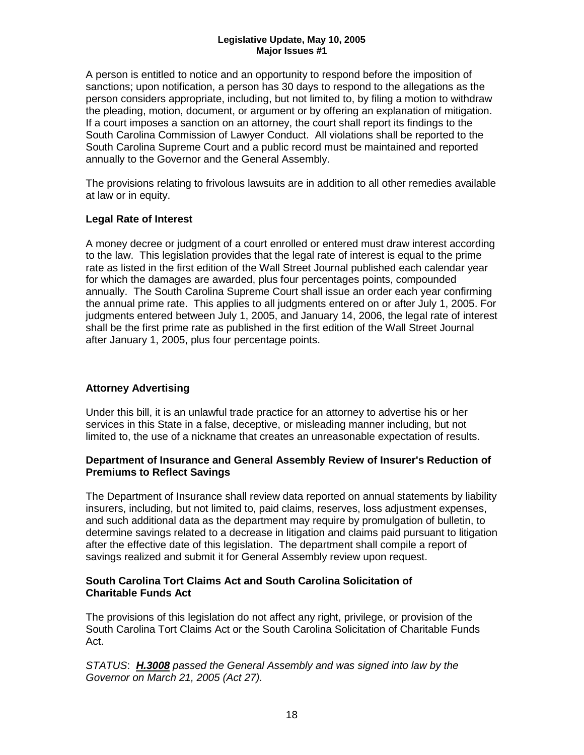A person is entitled to notice and an opportunity to respond before the imposition of sanctions; upon notification, a person has 30 days to respond to the allegations as the person considers appropriate, including, but not limited to, by filing a motion to withdraw the pleading, motion, document, or argument or by offering an explanation of mitigation. If a court imposes a sanction on an attorney, the court shall report its findings to the South Carolina Commission of Lawyer Conduct. All violations shall be reported to the South Carolina Supreme Court and a public record must be maintained and reported annually to the Governor and the General Assembly.

The provisions relating to frivolous lawsuits are in addition to all other remedies available at law or in equity.

#### **Legal Rate of Interest**

A money decree or judgment of a court enrolled or entered must draw interest according to the law. This legislation provides that the legal rate of interest is equal to the prime rate as listed in the first edition of the Wall Street Journal published each calendar year for which the damages are awarded, plus four percentages points, compounded annually. The South Carolina Supreme Court shall issue an order each year confirming the annual prime rate. This applies to all judgments entered on or after July 1, 2005. For judgments entered between July 1, 2005, and January 14, 2006, the legal rate of interest shall be the first prime rate as published in the first edition of the Wall Street Journal after January 1, 2005, plus four percentage points.

#### **Attorney Advertising**

Under this bill, it is an unlawful trade practice for an attorney to advertise his or her services in this State in a false, deceptive, or misleading manner including, but not limited to, the use of a nickname that creates an unreasonable expectation of results.

#### **Department of Insurance and General Assembly Review of Insurer's Reduction of Premiums to Reflect Savings**

The Department of Insurance shall review data reported on annual statements by liability insurers, including, but not limited to, paid claims, reserves, loss adjustment expenses, and such additional data as the department may require by promulgation of bulletin, to determine savings related to a decrease in litigation and claims paid pursuant to litigation after the effective date of this legislation. The department shall compile a report of savings realized and submit it for General Assembly review upon request.

#### **South Carolina Tort Claims Act and South Carolina Solicitation of Charitable Funds Act**

The provisions of this legislation do not affect any right, privilege, or provision of the South Carolina Tort Claims Act or the South Carolina Solicitation of Charitable Funds Act.

*STATUS*: *H.3008 passed the General Assembly and was signed into law by the Governor on March 21, 2005 (Act 27).*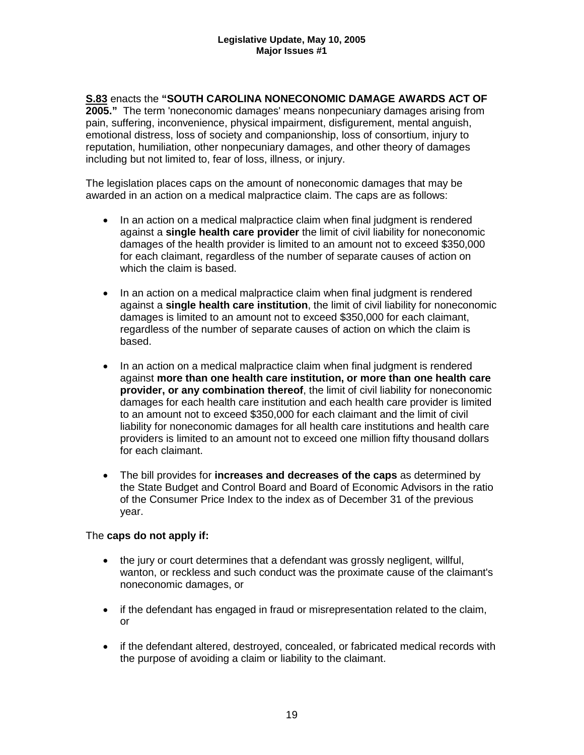**S.83** enacts the **"SOUTH CAROLINA NONECONOMIC DAMAGE AWARDS ACT OF 2005."** The term 'noneconomic damages' means nonpecuniary damages arising from pain, suffering, inconvenience, physical impairment, disfigurement, mental anguish, emotional distress, loss of society and companionship, loss of consortium, injury to reputation, humiliation, other nonpecuniary damages, and other theory of damages including but not limited to, fear of loss, illness, or injury.

The legislation places caps on the amount of noneconomic damages that may be awarded in an action on a medical malpractice claim. The caps are as follows:

- In an action on a medical malpractice claim when final judgment is rendered against a **single health care provider** the limit of civil liability for noneconomic damages of the health provider is limited to an amount not to exceed \$350,000 for each claimant, regardless of the number of separate causes of action on which the claim is based.
- In an action on a medical malpractice claim when final judgment is rendered against a **single health care institution**, the limit of civil liability for noneconomic damages is limited to an amount not to exceed \$350,000 for each claimant, regardless of the number of separate causes of action on which the claim is based.
- In an action on a medical malpractice claim when final judgment is rendered against **more than one health care institution, or more than one health care provider, or any combination thereof**, the limit of civil liability for noneconomic damages for each health care institution and each health care provider is limited to an amount not to exceed \$350,000 for each claimant and the limit of civil liability for noneconomic damages for all health care institutions and health care providers is limited to an amount not to exceed one million fifty thousand dollars for each claimant.
- The bill provides for **increases and decreases of the caps** as determined by the State Budget and Control Board and Board of Economic Advisors in the ratio of the Consumer Price Index to the index as of December 31 of the previous year.

#### The **caps do not apply if:**

- the jury or court determines that a defendant was grossly negligent, willful, wanton, or reckless and such conduct was the proximate cause of the claimant's noneconomic damages, or
- if the defendant has engaged in fraud or misrepresentation related to the claim, or
- if the defendant altered, destroyed, concealed, or fabricated medical records with the purpose of avoiding a claim or liability to the claimant.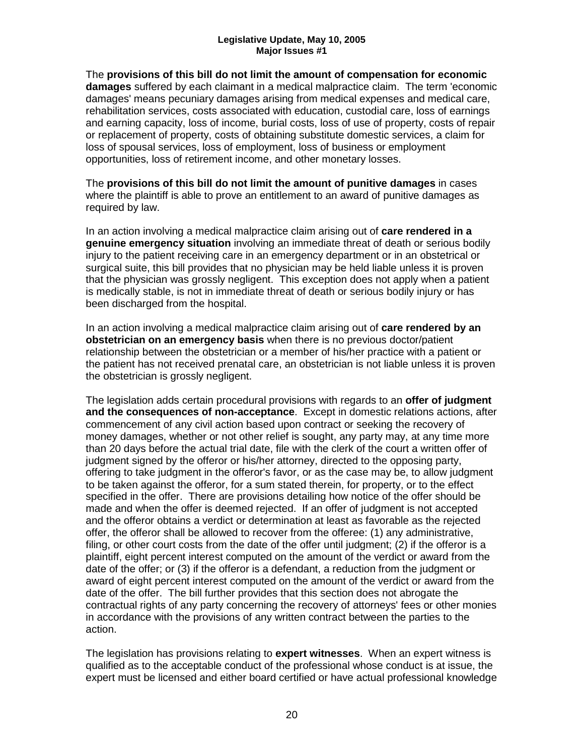The **provisions of this bill do not limit the amount of compensation for economic damages** suffered by each claimant in a medical malpractice claim. The term 'economic damages' means pecuniary damages arising from medical expenses and medical care, rehabilitation services, costs associated with education, custodial care, loss of earnings and earning capacity, loss of income, burial costs, loss of use of property, costs of repair or replacement of property, costs of obtaining substitute domestic services, a claim for loss of spousal services, loss of employment, loss of business or employment opportunities, loss of retirement income, and other monetary losses.

The **provisions of this bill do not limit the amount of punitive damages** in cases where the plaintiff is able to prove an entitlement to an award of punitive damages as required by law.

In an action involving a medical malpractice claim arising out of **care rendered in a genuine emergency situation** involving an immediate threat of death or serious bodily injury to the patient receiving care in an emergency department or in an obstetrical or surgical suite, this bill provides that no physician may be held liable unless it is proven that the physician was grossly negligent. This exception does not apply when a patient is medically stable, is not in immediate threat of death or serious bodily injury or has been discharged from the hospital.

In an action involving a medical malpractice claim arising out of **care rendered by an obstetrician on an emergency basis** when there is no previous doctor/patient relationship between the obstetrician or a member of his/her practice with a patient or the patient has not received prenatal care, an obstetrician is not liable unless it is proven the obstetrician is grossly negligent.

The legislation adds certain procedural provisions with regards to an **offer of judgment and the consequences of non-acceptance**. Except in domestic relations actions, after commencement of any civil action based upon contract or seeking the recovery of money damages, whether or not other relief is sought, any party may, at any time more than 20 days before the actual trial date, file with the clerk of the court a written offer of judgment signed by the offeror or his/her attorney, directed to the opposing party, offering to take judgment in the offeror's favor, or as the case may be, to allow judgment to be taken against the offeror, for a sum stated therein, for property, or to the effect specified in the offer. There are provisions detailing how notice of the offer should be made and when the offer is deemed rejected. If an offer of judgment is not accepted and the offeror obtains a verdict or determination at least as favorable as the rejected offer, the offeror shall be allowed to recover from the offeree: (1) any administrative, filing, or other court costs from the date of the offer until judgment; (2) if the offeror is a plaintiff, eight percent interest computed on the amount of the verdict or award from the date of the offer; or (3) if the offeror is a defendant, a reduction from the judgment or award of eight percent interest computed on the amount of the verdict or award from the date of the offer. The bill further provides that this section does not abrogate the contractual rights of any party concerning the recovery of attorneys' fees or other monies in accordance with the provisions of any written contract between the parties to the action.

The legislation has provisions relating to **expert witnesses**. When an expert witness is qualified as to the acceptable conduct of the professional whose conduct is at issue, the expert must be licensed and either board certified or have actual professional knowledge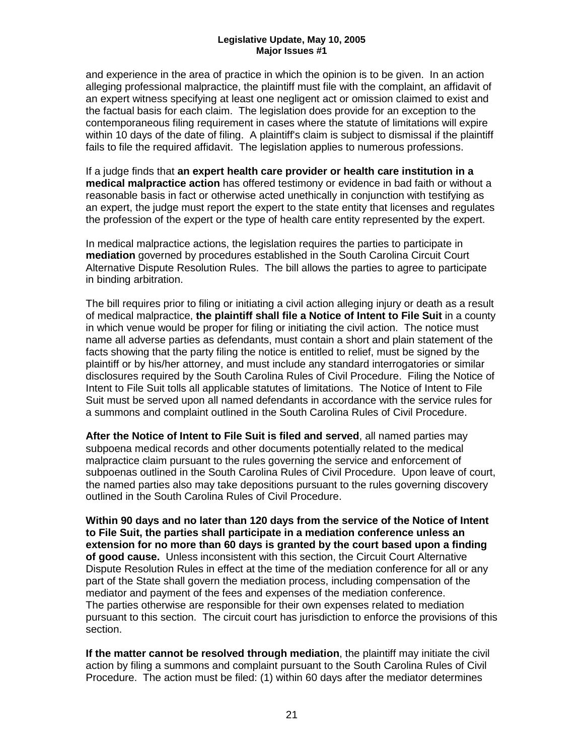and experience in the area of practice in which the opinion is to be given. In an action alleging professional malpractice, the plaintiff must file with the complaint, an affidavit of an expert witness specifying at least one negligent act or omission claimed to exist and the factual basis for each claim. The legislation does provide for an exception to the contemporaneous filing requirement in cases where the statute of limitations will expire within 10 days of the date of filing. A plaintiff's claim is subject to dismissal if the plaintiff fails to file the required affidavit. The legislation applies to numerous professions.

If a judge finds that **an expert health care provider or health care institution in a medical malpractice action** has offered testimony or evidence in bad faith or without a reasonable basis in fact or otherwise acted unethically in conjunction with testifying as an expert, the judge must report the expert to the state entity that licenses and regulates the profession of the expert or the type of health care entity represented by the expert.

In medical malpractice actions, the legislation requires the parties to participate in **mediation** governed by procedures established in the South Carolina Circuit Court Alternative Dispute Resolution Rules. The bill allows the parties to agree to participate in binding arbitration.

The bill requires prior to filing or initiating a civil action alleging injury or death as a result of medical malpractice, **the plaintiff shall file a Notice of Intent to File Suit** in a county in which venue would be proper for filing or initiating the civil action. The notice must name all adverse parties as defendants, must contain a short and plain statement of the facts showing that the party filing the notice is entitled to relief, must be signed by the plaintiff or by his/her attorney, and must include any standard interrogatories or similar disclosures required by the South Carolina Rules of Civil Procedure. Filing the Notice of Intent to File Suit tolls all applicable statutes of limitations. The Notice of Intent to File Suit must be served upon all named defendants in accordance with the service rules for a summons and complaint outlined in the South Carolina Rules of Civil Procedure.

**After the Notice of Intent to File Suit is filed and served**, all named parties may subpoena medical records and other documents potentially related to the medical malpractice claim pursuant to the rules governing the service and enforcement of subpoenas outlined in the South Carolina Rules of Civil Procedure. Upon leave of court, the named parties also may take depositions pursuant to the rules governing discovery outlined in the South Carolina Rules of Civil Procedure.

**Within 90 days and no later than 120 days from the service of the Notice of Intent to File Suit, the parties shall participate in a mediation conference unless an extension for no more than 60 days is granted by the court based upon a finding of good cause.** Unless inconsistent with this section, the Circuit Court Alternative Dispute Resolution Rules in effect at the time of the mediation conference for all or any part of the State shall govern the mediation process, including compensation of the mediator and payment of the fees and expenses of the mediation conference. The parties otherwise are responsible for their own expenses related to mediation pursuant to this section. The circuit court has jurisdiction to enforce the provisions of this section.

**If the matter cannot be resolved through mediation**, the plaintiff may initiate the civil action by filing a summons and complaint pursuant to the South Carolina Rules of Civil Procedure. The action must be filed: (1) within 60 days after the mediator determines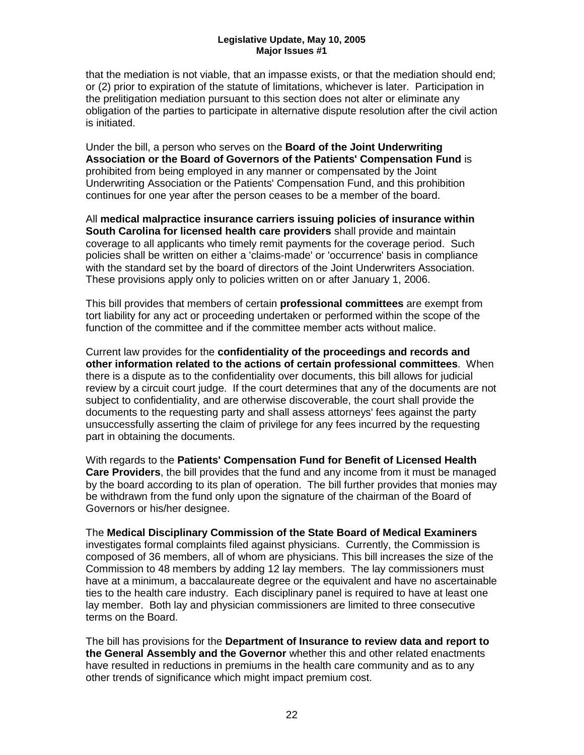that the mediation is not viable, that an impasse exists, or that the mediation should end; or (2) prior to expiration of the statute of limitations, whichever is later. Participation in the prelitigation mediation pursuant to this section does not alter or eliminate any obligation of the parties to participate in alternative dispute resolution after the civil action is initiated.

Under the bill, a person who serves on the **Board of the Joint Underwriting Association or the Board of Governors of the Patients' Compensation Fund** is prohibited from being employed in any manner or compensated by the Joint Underwriting Association or the Patients' Compensation Fund, and this prohibition continues for one year after the person ceases to be a member of the board.

All **medical malpractice insurance carriers issuing policies of insurance within South Carolina for licensed health care providers** shall provide and maintain coverage to all applicants who timely remit payments for the coverage period. Such policies shall be written on either a 'claims-made' or 'occurrence' basis in compliance with the standard set by the board of directors of the Joint Underwriters Association. These provisions apply only to policies written on or after January 1, 2006.

This bill provides that members of certain **professional committees** are exempt from tort liability for any act or proceeding undertaken or performed within the scope of the function of the committee and if the committee member acts without malice.

Current law provides for the **confidentiality of the proceedings and records and other information related to the actions of certain professional committees**. When there is a dispute as to the confidentiality over documents, this bill allows for judicial review by a circuit court judge. If the court determines that any of the documents are not subject to confidentiality, and are otherwise discoverable, the court shall provide the documents to the requesting party and shall assess attorneys' fees against the party unsuccessfully asserting the claim of privilege for any fees incurred by the requesting part in obtaining the documents.

With regards to the **Patients' Compensation Fund for Benefit of Licensed Health Care Providers**, the bill provides that the fund and any income from it must be managed by the board according to its plan of operation. The bill further provides that monies may be withdrawn from the fund only upon the signature of the chairman of the Board of Governors or his/her designee.

The **Medical Disciplinary Commission of the State Board of Medical Examiners**  investigates formal complaints filed against physicians. Currently, the Commission is composed of 36 members, all of whom are physicians. This bill increases the size of the Commission to 48 members by adding 12 lay members. The lay commissioners must have at a minimum, a baccalaureate degree or the equivalent and have no ascertainable ties to the health care industry. Each disciplinary panel is required to have at least one lay member. Both lay and physician commissioners are limited to three consecutive terms on the Board.

The bill has provisions for the **Department of Insurance to review data and report to the General Assembly and the Governor** whether this and other related enactments have resulted in reductions in premiums in the health care community and as to any other trends of significance which might impact premium cost.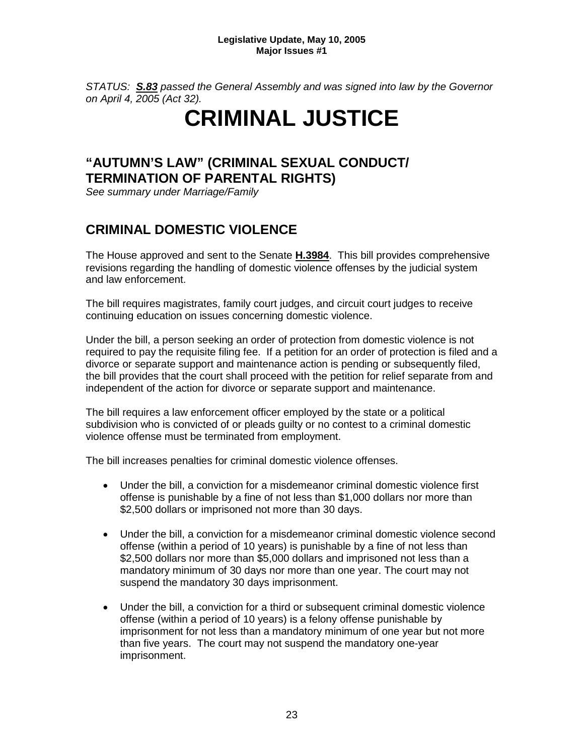*STATUS: S.83 passed the General Assembly and was signed into law by the Governor on April 4, 2005 (Act 32).*

## **CRIMINAL JUSTICE**

## **"AUTUMN'S LAW" (CRIMINAL SEXUAL CONDUCT/ TERMINATION OF PARENTAL RIGHTS)**

*See summary under Marriage/Family*

## **CRIMINAL DOMESTIC VIOLENCE**

The House approved and sent to the Senate **H.3984**. This bill provides comprehensive revisions regarding the handling of domestic violence offenses by the judicial system and law enforcement.

The bill requires magistrates, family court judges, and circuit court judges to receive continuing education on issues concerning domestic violence.

Under the bill, a person seeking an order of protection from domestic violence is not required to pay the requisite filing fee. If a petition for an order of protection is filed and a divorce or separate support and maintenance action is pending or subsequently filed, the bill provides that the court shall proceed with the petition for relief separate from and independent of the action for divorce or separate support and maintenance.

The bill requires a law enforcement officer employed by the state or a political subdivision who is convicted of or pleads guilty or no contest to a criminal domestic violence offense must be terminated from employment.

The bill increases penalties for criminal domestic violence offenses.

- Under the bill, a conviction for a misdemeanor criminal domestic violence first offense is punishable by a fine of not less than \$1,000 dollars nor more than \$2,500 dollars or imprisoned not more than 30 days.
- Under the bill, a conviction for a misdemeanor criminal domestic violence second offense (within a period of 10 years) is punishable by a fine of not less than \$2,500 dollars nor more than \$5,000 dollars and imprisoned not less than a mandatory minimum of 30 days nor more than one year. The court may not suspend the mandatory 30 days imprisonment.
- Under the bill, a conviction for a third or subsequent criminal domestic violence offense (within a period of 10 years) is a felony offense punishable by imprisonment for not less than a mandatory minimum of one year but not more than five years. The court may not suspend the mandatory one-year imprisonment.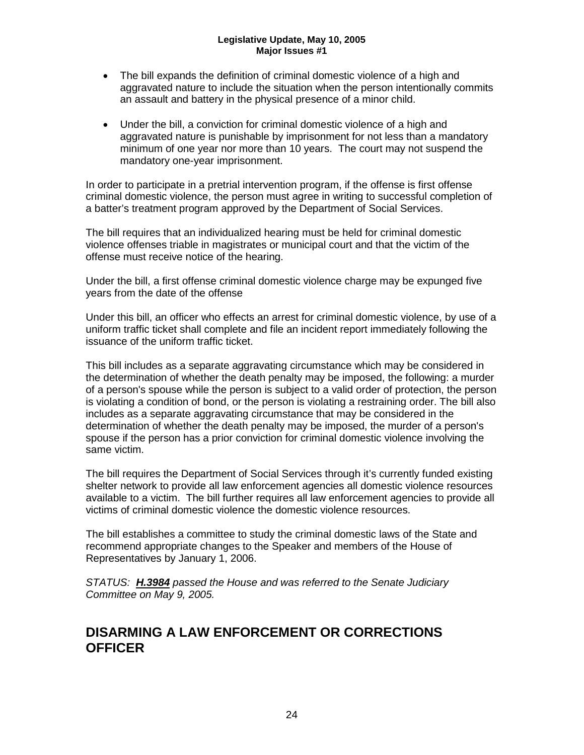- The bill expands the definition of criminal domestic violence of a high and aggravated nature to include the situation when the person intentionally commits an assault and battery in the physical presence of a minor child.
- Under the bill, a conviction for criminal domestic violence of a high and aggravated nature is punishable by imprisonment for not less than a mandatory minimum of one year nor more than 10 years. The court may not suspend the mandatory one-year imprisonment.

In order to participate in a pretrial intervention program, if the offense is first offense criminal domestic violence, the person must agree in writing to successful completion of a batter's treatment program approved by the Department of Social Services.

The bill requires that an individualized hearing must be held for criminal domestic violence offenses triable in magistrates or municipal court and that the victim of the offense must receive notice of the hearing.

Under the bill, a first offense criminal domestic violence charge may be expunged five years from the date of the offense

Under this bill, an officer who effects an arrest for criminal domestic violence, by use of a uniform traffic ticket shall complete and file an incident report immediately following the issuance of the uniform traffic ticket.

This bill includes as a separate aggravating circumstance which may be considered in the determination of whether the death penalty may be imposed, the following: a murder of a person's spouse while the person is subject to a valid order of protection, the person is violating a condition of bond, or the person is violating a restraining order. The bill also includes as a separate aggravating circumstance that may be considered in the determination of whether the death penalty may be imposed, the murder of a person's spouse if the person has a prior conviction for criminal domestic violence involving the same victim.

The bill requires the Department of Social Services through it's currently funded existing shelter network to provide all law enforcement agencies all domestic violence resources available to a victim. The bill further requires all law enforcement agencies to provide all victims of criminal domestic violence the domestic violence resources.

The bill establishes a committee to study the criminal domestic laws of the State and recommend appropriate changes to the Speaker and members of the House of Representatives by January 1, 2006.

*STATUS: H.3984 passed the House and was referred to the Senate Judiciary Committee on May 9, 2005.*

### **DISARMING A LAW ENFORCEMENT OR CORRECTIONS OFFICER**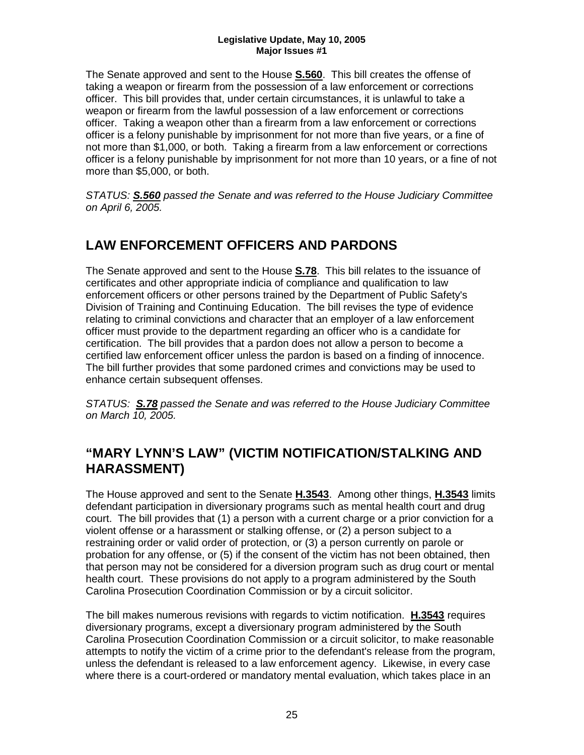The Senate approved and sent to the House **S.560**. This bill creates the offense of taking a weapon or firearm from the possession of a law enforcement or corrections officer. This bill provides that, under certain circumstances, it is unlawful to take a weapon or firearm from the lawful possession of a law enforcement or corrections officer. Taking a weapon other than a firearm from a law enforcement or corrections officer is a felony punishable by imprisonment for not more than five years, or a fine of not more than \$1,000, or both. Taking a firearm from a law enforcement or corrections officer is a felony punishable by imprisonment for not more than 10 years, or a fine of not more than \$5,000, or both.

*STATUS: S.560 passed the Senate and was referred to the House Judiciary Committee on April 6, 2005.*

## **LAW ENFORCEMENT OFFICERS AND PARDONS**

The Senate approved and sent to the House **S.78**. This bill relates to the issuance of certificates and other appropriate indicia of compliance and qualification to law enforcement officers or other persons trained by the Department of Public Safety's Division of Training and Continuing Education. The bill revises the type of evidence relating to criminal convictions and character that an employer of a law enforcement officer must provide to the department regarding an officer who is a candidate for certification. The bill provides that a pardon does not allow a person to become a certified law enforcement officer unless the pardon is based on a finding of innocence. The bill further provides that some pardoned crimes and convictions may be used to enhance certain subsequent offenses.

*STATUS: S.78 passed the Senate and was referred to the House Judiciary Committee on March 10, 2005.*

### **"MARY LYNN'S LAW" (VICTIM NOTIFICATION/STALKING AND HARASSMENT)**

The House approved and sent to the Senate **H.3543**. Among other things, **H.3543** limits defendant participation in diversionary programs such as mental health court and drug court. The bill provides that (1) a person with a current charge or a prior conviction for a violent offense or a harassment or stalking offense, or (2) a person subject to a restraining order or valid order of protection, or (3) a person currently on parole or probation for any offense, or (5) if the consent of the victim has not been obtained, then that person may not be considered for a diversion program such as drug court or mental health court. These provisions do not apply to a program administered by the South Carolina Prosecution Coordination Commission or by a circuit solicitor.

The bill makes numerous revisions with regards to victim notification. **H.3543** requires diversionary programs, except a diversionary program administered by the South Carolina Prosecution Coordination Commission or a circuit solicitor, to make reasonable attempts to notify the victim of a crime prior to the defendant's release from the program, unless the defendant is released to a law enforcement agency. Likewise, in every case where there is a court-ordered or mandatory mental evaluation, which takes place in an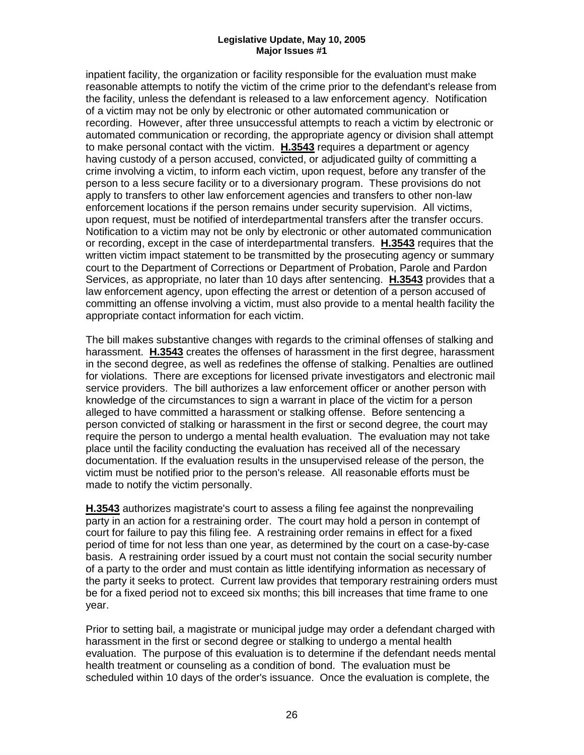inpatient facility, the organization or facility responsible for the evaluation must make reasonable attempts to notify the victim of the crime prior to the defendant's release from the facility, unless the defendant is released to a law enforcement agency. Notification of a victim may not be only by electronic or other automated communication or recording. However, after three unsuccessful attempts to reach a victim by electronic or automated communication or recording, the appropriate agency or division shall attempt to make personal contact with the victim. **H.3543** requires a department or agency having custody of a person accused, convicted, or adjudicated guilty of committing a crime involving a victim, to inform each victim, upon request, before any transfer of the person to a less secure facility or to a diversionary program. These provisions do not apply to transfers to other law enforcement agencies and transfers to other non-law enforcement locations if the person remains under security supervision. All victims, upon request, must be notified of interdepartmental transfers after the transfer occurs. Notification to a victim may not be only by electronic or other automated communication or recording, except in the case of interdepartmental transfers. **H.3543** requires that the written victim impact statement to be transmitted by the prosecuting agency or summary court to the Department of Corrections or Department of Probation, Parole and Pardon Services, as appropriate, no later than 10 days after sentencing. **H.3543** provides that a law enforcement agency, upon effecting the arrest or detention of a person accused of committing an offense involving a victim, must also provide to a mental health facility the appropriate contact information for each victim.

The bill makes substantive changes with regards to the criminal offenses of stalking and harassment. **H.3543** creates the offenses of harassment in the first degree, harassment in the second degree, as well as redefines the offense of stalking. Penalties are outlined for violations. There are exceptions for licensed private investigators and electronic mail service providers. The bill authorizes a law enforcement officer or another person with knowledge of the circumstances to sign a warrant in place of the victim for a person alleged to have committed a harassment or stalking offense. Before sentencing a person convicted of stalking or harassment in the first or second degree, the court may require the person to undergo a mental health evaluation. The evaluation may not take place until the facility conducting the evaluation has received all of the necessary documentation. If the evaluation results in the unsupervised release of the person, the victim must be notified prior to the person's release. All reasonable efforts must be made to notify the victim personally.

**H.3543** authorizes magistrate's court to assess a filing fee against the nonprevailing party in an action for a restraining order. The court may hold a person in contempt of court for failure to pay this filing fee. A restraining order remains in effect for a fixed period of time for not less than one year, as determined by the court on a case-by-case basis. A restraining order issued by a court must not contain the social security number of a party to the order and must contain as little identifying information as necessary of the party it seeks to protect. Current law provides that temporary restraining orders must be for a fixed period not to exceed six months; this bill increases that time frame to one year.

Prior to setting bail, a magistrate or municipal judge may order a defendant charged with harassment in the first or second degree or stalking to undergo a mental health evaluation. The purpose of this evaluation is to determine if the defendant needs mental health treatment or counseling as a condition of bond. The evaluation must be scheduled within 10 days of the order's issuance. Once the evaluation is complete, the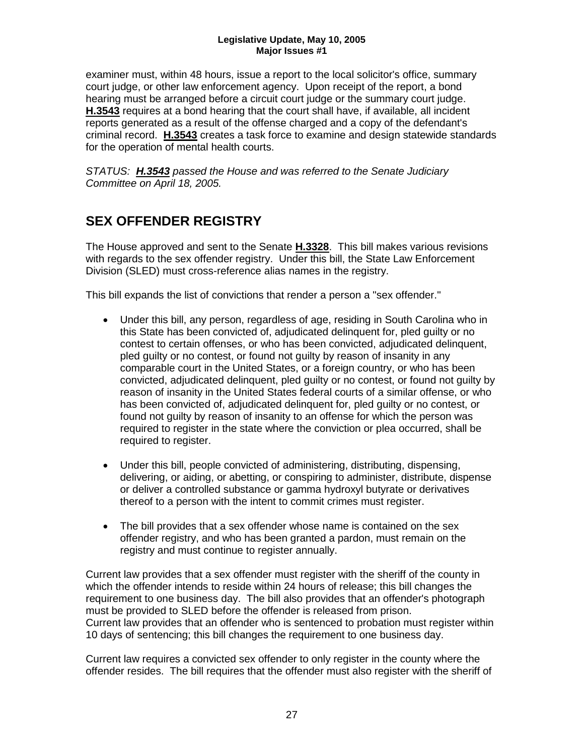examiner must, within 48 hours, issue a report to the local solicitor's office, summary court judge, or other law enforcement agency. Upon receipt of the report, a bond hearing must be arranged before a circuit court judge or the summary court judge. **H.3543** requires at a bond hearing that the court shall have, if available, all incident reports generated as a result of the offense charged and a copy of the defendant's criminal record. **H.3543** creates a task force to examine and design statewide standards for the operation of mental health courts.

*STATUS: H.3543 passed the House and was referred to the Senate Judiciary Committee on April 18, 2005.*

## **SEX OFFENDER REGISTRY**

The House approved and sent to the Senate **H.3328**. This bill makes various revisions with regards to the sex offender registry. Under this bill, the State Law Enforcement Division (SLED) must cross-reference alias names in the registry.

This bill expands the list of convictions that render a person a "sex offender."

- Under this bill, any person, regardless of age, residing in South Carolina who in this State has been convicted of, adjudicated delinquent for, pled guilty or no contest to certain offenses, or who has been convicted, adjudicated delinquent, pled guilty or no contest, or found not guilty by reason of insanity in any comparable court in the United States, or a foreign country, or who has been convicted, adjudicated delinquent, pled guilty or no contest, or found not guilty by reason of insanity in the United States federal courts of a similar offense, or who has been convicted of, adjudicated delinquent for, pled guilty or no contest, or found not guilty by reason of insanity to an offense for which the person was required to register in the state where the conviction or plea occurred, shall be required to register.
- Under this bill, people convicted of administering, distributing, dispensing, delivering, or aiding, or abetting, or conspiring to administer, distribute, dispense or deliver a controlled substance or gamma hydroxyl butyrate or derivatives thereof to a person with the intent to commit crimes must register.
- The bill provides that a sex offender whose name is contained on the sex offender registry, and who has been granted a pardon, must remain on the registry and must continue to register annually.

Current law provides that a sex offender must register with the sheriff of the county in which the offender intends to reside within 24 hours of release; this bill changes the requirement to one business day. The bill also provides that an offender's photograph must be provided to SLED before the offender is released from prison. Current law provides that an offender who is sentenced to probation must register within 10 days of sentencing; this bill changes the requirement to one business day.

Current law requires a convicted sex offender to only register in the county where the offender resides. The bill requires that the offender must also register with the sheriff of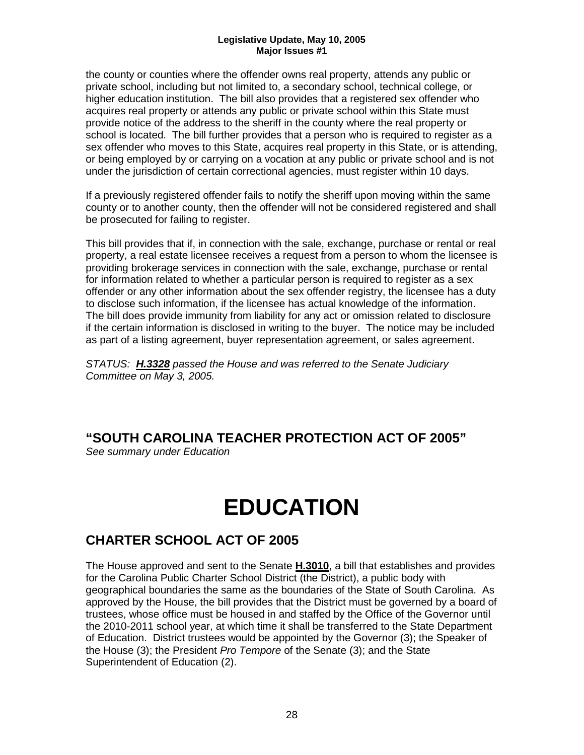the county or counties where the offender owns real property, attends any public or private school, including but not limited to, a secondary school, technical college, or higher education institution. The bill also provides that a registered sex offender who acquires real property or attends any public or private school within this State must provide notice of the address to the sheriff in the county where the real property or school is located. The bill further provides that a person who is required to register as a sex offender who moves to this State, acquires real property in this State, or is attending, or being employed by or carrying on a vocation at any public or private school and is not under the jurisdiction of certain correctional agencies, must register within 10 days.

If a previously registered offender fails to notify the sheriff upon moving within the same county or to another county, then the offender will not be considered registered and shall be prosecuted for failing to register.

This bill provides that if, in connection with the sale, exchange, purchase or rental or real property, a real estate licensee receives a request from a person to whom the licensee is providing brokerage services in connection with the sale, exchange, purchase or rental for information related to whether a particular person is required to register as a sex offender or any other information about the sex offender registry, the licensee has a duty to disclose such information, if the licensee has actual knowledge of the information. The bill does provide immunity from liability for any act or omission related to disclosure if the certain information is disclosed in writing to the buyer. The notice may be included as part of a listing agreement, buyer representation agreement, or sales agreement.

*STATUS: H.3328 passed the House and was referred to the Senate Judiciary Committee on May 3, 2005.*

## **"SOUTH CAROLINA TEACHER PROTECTION ACT OF 2005"**

*See summary under Education*

## **EDUCATION**

## **CHARTER SCHOOL ACT OF 2005**

The House approved and sent to the Senate **H.3010**, a bill that establishes and provides for the Carolina Public Charter School District (the District), a public body with geographical boundaries the same as the boundaries of the State of South Carolina. As approved by the House, the bill provides that the District must be governed by a board of trustees, whose office must be housed in and staffed by the Office of the Governor until the 2010-2011 school year, at which time it shall be transferred to the State Department of Education. District trustees would be appointed by the Governor (3); the Speaker of the House (3); the President *Pro Tempore* of the Senate (3); and the State Superintendent of Education (2).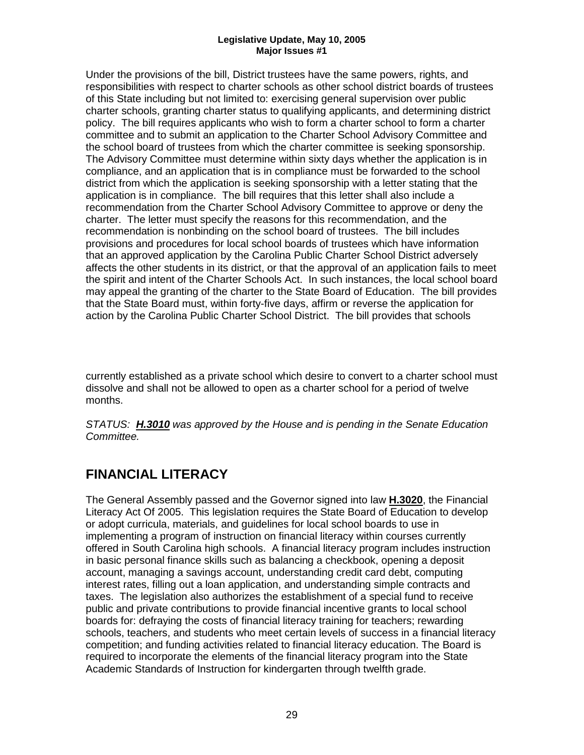Under the provisions of the bill, District trustees have the same powers, rights, and responsibilities with respect to charter schools as other school district boards of trustees of this State including but not limited to: exercising general supervision over public charter schools, granting charter status to qualifying applicants, and determining district policy. The bill requires applicants who wish to form a charter school to form a charter committee and to submit an application to the Charter School Advisory Committee and the school board of trustees from which the charter committee is seeking sponsorship. The Advisory Committee must determine within sixty days whether the application is in compliance, and an application that is in compliance must be forwarded to the school district from which the application is seeking sponsorship with a letter stating that the application is in compliance. The bill requires that this letter shall also include a recommendation from the Charter School Advisory Committee to approve or deny the charter. The letter must specify the reasons for this recommendation, and the recommendation is nonbinding on the school board of trustees. The bill includes provisions and procedures for local school boards of trustees which have information that an approved application by the Carolina Public Charter School District adversely affects the other students in its district, or that the approval of an application fails to meet the spirit and intent of the Charter Schools Act. In such instances, the local school board may appeal the granting of the charter to the State Board of Education. The bill provides that the State Board must, within forty-five days, affirm or reverse the application for action by the Carolina Public Charter School District. The bill provides that schools

currently established as a private school which desire to convert to a charter school must dissolve and shall not be allowed to open as a charter school for a period of twelve months.

*STATUS: H.3010 was approved by the House and is pending in the Senate Education Committee.*

## **FINANCIAL LITERACY**

The General Assembly passed and the Governor signed into law **H.3020**, the Financial Literacy Act Of 2005. This legislation requires the State Board of Education to develop or adopt curricula, materials, and guidelines for local school boards to use in implementing a program of instruction on financial literacy within courses currently offered in South Carolina high schools. A financial literacy program includes instruction in basic personal finance skills such as balancing a checkbook, opening a deposit account, managing a savings account, understanding credit card debt, computing interest rates, filling out a loan application, and understanding simple contracts and taxes. The legislation also authorizes the establishment of a special fund to receive public and private contributions to provide financial incentive grants to local school boards for: defraying the costs of financial literacy training for teachers; rewarding schools, teachers, and students who meet certain levels of success in a financial literacy competition; and funding activities related to financial literacy education. The Board is required to incorporate the elements of the financial literacy program into the State Academic Standards of Instruction for kindergarten through twelfth grade.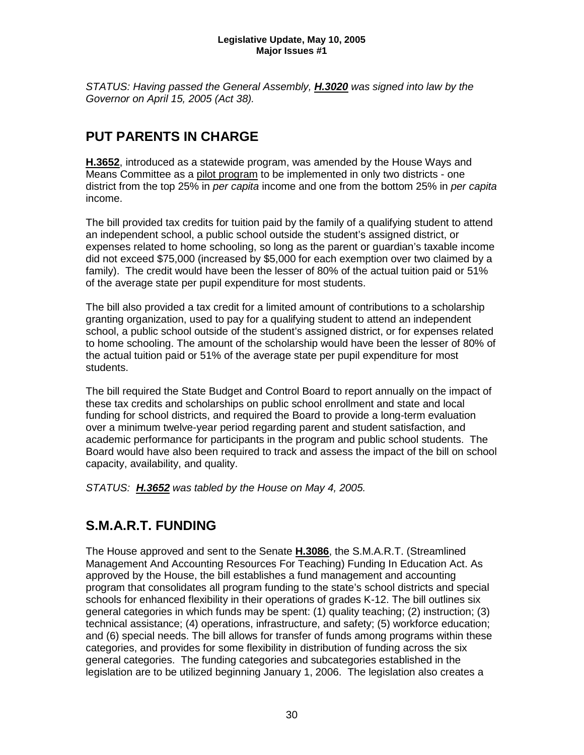*STATUS: Having passed the General Assembly, H.3020 was signed into law by the Governor on April 15, 2005 (Act 38).*

## **PUT PARENTS IN CHARGE**

**H.3652**, introduced as a statewide program, was amended by the House Ways and Means Committee as a pilot program to be implemented in only two districts - one district from the top 25% in *per capita* income and one from the bottom 25% in *per capita* income.

The bill provided tax credits for tuition paid by the family of a qualifying student to attend an independent school, a public school outside the student's assigned district, or expenses related to home schooling, so long as the parent or guardian's taxable income did not exceed \$75,000 (increased by \$5,000 for each exemption over two claimed by a family). The credit would have been the lesser of 80% of the actual tuition paid or 51% of the average state per pupil expenditure for most students.

The bill also provided a tax credit for a limited amount of contributions to a scholarship granting organization, used to pay for a qualifying student to attend an independent school, a public school outside of the student's assigned district, or for expenses related to home schooling. The amount of the scholarship would have been the lesser of 80% of the actual tuition paid or 51% of the average state per pupil expenditure for most students.

The bill required the State Budget and Control Board to report annually on the impact of these tax credits and scholarships on public school enrollment and state and local funding for school districts, and required the Board to provide a long-term evaluation over a minimum twelve-year period regarding parent and student satisfaction, and academic performance for participants in the program and public school students. The Board would have also been required to track and assess the impact of the bill on school capacity, availability, and quality.

*STATUS: H.3652 was tabled by the House on May 4, 2005.* 

## **S.M.A.R.T. FUNDING**

The House approved and sent to the Senate **H.3086**, the S.M.A.R.T. (Streamlined Management And Accounting Resources For Teaching) Funding In Education Act. As approved by the House, the bill establishes a fund management and accounting program that consolidates all program funding to the state's school districts and special schools for enhanced flexibility in their operations of grades K-12. The bill outlines six general categories in which funds may be spent: (1) quality teaching; (2) instruction; (3) technical assistance; (4) operations, infrastructure, and safety; (5) workforce education; and (6) special needs. The bill allows for transfer of funds among programs within these categories, and provides for some flexibility in distribution of funding across the six general categories. The funding categories and subcategories established in the legislation are to be utilized beginning January 1, 2006. The legislation also creates a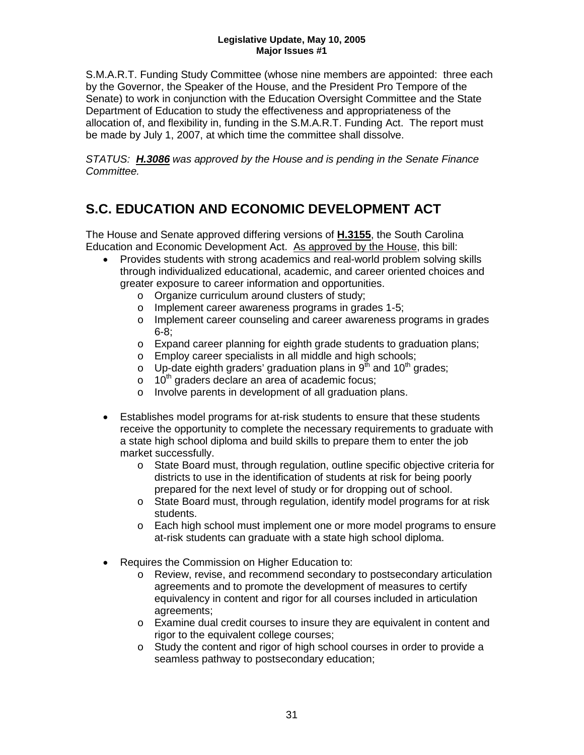S.M.A.R.T. Funding Study Committee (whose nine members are appointed: three each by the Governor, the Speaker of the House, and the President Pro Tempore of the Senate) to work in conjunction with the Education Oversight Committee and the State Department of Education to study the effectiveness and appropriateness of the allocation of, and flexibility in, funding in the S.M.A.R.T. Funding Act. The report must be made by July 1, 2007, at which time the committee shall dissolve.

*STATUS: H.3086 was approved by the House and is pending in the Senate Finance Committee.*

## **S.C. EDUCATION AND ECONOMIC DEVELOPMENT ACT**

The House and Senate approved differing versions of **H.3155**, the South Carolina Education and Economic Development Act. As approved by the House, this bill:

- Provides students with strong academics and real-world problem solving skills through individualized educational, academic, and career oriented choices and greater exposure to career information and opportunities.
	- o Organize curriculum around clusters of study;
	- o Implement career awareness programs in grades 1-5;
	- o Implement career counseling and career awareness programs in grades 6-8;
	- o Expand career planning for eighth grade students to graduation plans;
	- o Employ career specialists in all middle and high schools;
	- o Up-date eighth graders' graduation plans in  $9<sup>th</sup>$  and 10<sup>th</sup> grades;
	- $\circ$  10<sup>th</sup> graders declare an area of academic focus;
	- o Involve parents in development of all graduation plans.
- Establishes model programs for at-risk students to ensure that these students receive the opportunity to complete the necessary requirements to graduate with a state high school diploma and build skills to prepare them to enter the job market successfully.
	- o State Board must, through regulation, outline specific objective criteria for districts to use in the identification of students at risk for being poorly prepared for the next level of study or for dropping out of school.
	- o State Board must, through regulation, identify model programs for at risk students.
	- o Each high school must implement one or more model programs to ensure at-risk students can graduate with a state high school diploma.
- Requires the Commission on Higher Education to:
	- o Review, revise, and recommend secondary to postsecondary articulation agreements and to promote the development of measures to certify equivalency in content and rigor for all courses included in articulation agreements;
	- o Examine dual credit courses to insure they are equivalent in content and rigor to the equivalent college courses;
	- o Study the content and rigor of high school courses in order to provide a seamless pathway to postsecondary education;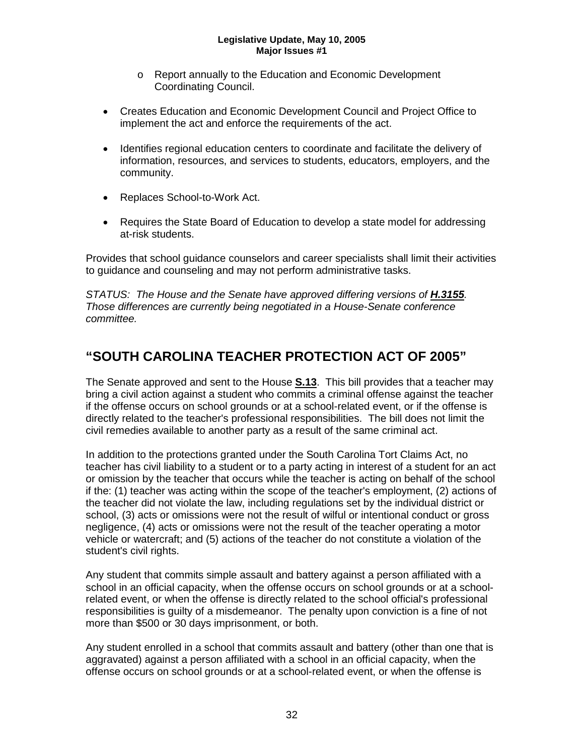- o Report annually to the Education and Economic Development Coordinating Council.
- Creates Education and Economic Development Council and Project Office to implement the act and enforce the requirements of the act.
- Identifies regional education centers to coordinate and facilitate the delivery of information, resources, and services to students, educators, employers, and the community.
- Replaces School-to-Work Act.
- Requires the State Board of Education to develop a state model for addressing at-risk students.

Provides that school guidance counselors and career specialists shall limit their activities to guidance and counseling and may not perform administrative tasks.

STATUS: The House and the Senate have approved differing versions of **H.3155**. *Those differences are currently being negotiated in a House-Senate conference committee.*

## **"SOUTH CAROLINA TEACHER PROTECTION ACT OF 2005"**

The Senate approved and sent to the House **S.13**. This bill provides that a teacher may bring a civil action against a student who commits a criminal offense against the teacher if the offense occurs on school grounds or at a school-related event, or if the offense is directly related to the teacher's professional responsibilities. The bill does not limit the civil remedies available to another party as a result of the same criminal act.

In addition to the protections granted under the South Carolina Tort Claims Act, no teacher has civil liability to a student or to a party acting in interest of a student for an act or omission by the teacher that occurs while the teacher is acting on behalf of the school if the: (1) teacher was acting within the scope of the teacher's employment, (2) actions of the teacher did not violate the law, including regulations set by the individual district or school, (3) acts or omissions were not the result of wilful or intentional conduct or gross negligence, (4) acts or omissions were not the result of the teacher operating a motor vehicle or watercraft; and (5) actions of the teacher do not constitute a violation of the student's civil rights.

Any student that commits simple assault and battery against a person affiliated with a school in an official capacity, when the offense occurs on school grounds or at a schoolrelated event, or when the offense is directly related to the school official's professional responsibilities is guilty of a misdemeanor. The penalty upon conviction is a fine of not more than \$500 or 30 days imprisonment, or both.

Any student enrolled in a school that commits assault and battery (other than one that is aggravated) against a person affiliated with a school in an official capacity, when the offense occurs on school grounds or at a school-related event, or when the offense is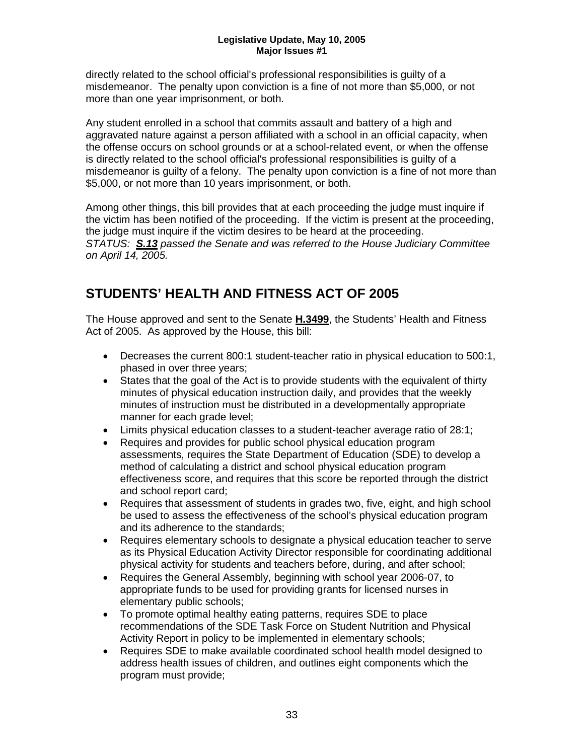directly related to the school official's professional responsibilities is guilty of a misdemeanor. The penalty upon conviction is a fine of not more than \$5,000, or not more than one year imprisonment, or both.

Any student enrolled in a school that commits assault and battery of a high and aggravated nature against a person affiliated with a school in an official capacity, when the offense occurs on school grounds or at a school-related event, or when the offense is directly related to the school official's professional responsibilities is guilty of a misdemeanor is guilty of a felony. The penalty upon conviction is a fine of not more than \$5,000, or not more than 10 years imprisonment, or both.

Among other things, this bill provides that at each proceeding the judge must inquire if the victim has been notified of the proceeding. If the victim is present at the proceeding, the judge must inquire if the victim desires to be heard at the proceeding. *STATUS: S.13 passed the Senate and was referred to the House Judiciary Committee on April 14, 2005.*

## **STUDENTS' HEALTH AND FITNESS ACT OF 2005**

The House approved and sent to the Senate **H.3499**, the Students' Health and Fitness Act of 2005. As approved by the House, this bill:

- Decreases the current 800:1 student-teacher ratio in physical education to 500:1, phased in over three years;
- States that the goal of the Act is to provide students with the equivalent of thirty minutes of physical education instruction daily, and provides that the weekly minutes of instruction must be distributed in a developmentally appropriate manner for each grade level;
- Limits physical education classes to a student-teacher average ratio of 28:1;
- Requires and provides for public school physical education program assessments, requires the State Department of Education (SDE) to develop a method of calculating a district and school physical education program effectiveness score, and requires that this score be reported through the district and school report card;
- Requires that assessment of students in grades two, five, eight, and high school be used to assess the effectiveness of the school's physical education program and its adherence to the standards;
- Requires elementary schools to designate a physical education teacher to serve as its Physical Education Activity Director responsible for coordinating additional physical activity for students and teachers before, during, and after school;
- Requires the General Assembly, beginning with school year 2006-07, to appropriate funds to be used for providing grants for licensed nurses in elementary public schools;
- To promote optimal healthy eating patterns, requires SDE to place recommendations of the SDE Task Force on Student Nutrition and Physical Activity Report in policy to be implemented in elementary schools;
- Requires SDE to make available coordinated school health model designed to address health issues of children, and outlines eight components which the program must provide;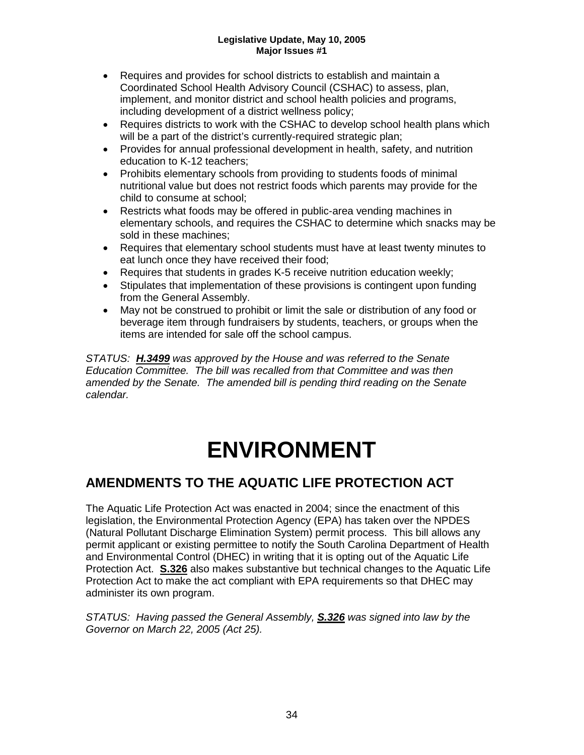- Requires and provides for school districts to establish and maintain a Coordinated School Health Advisory Council (CSHAC) to assess, plan, implement, and monitor district and school health policies and programs, including development of a district wellness policy;
- Requires districts to work with the CSHAC to develop school health plans which will be a part of the district's currently-required strategic plan;
- Provides for annual professional development in health, safety, and nutrition education to K-12 teachers;
- Prohibits elementary schools from providing to students foods of minimal nutritional value but does not restrict foods which parents may provide for the child to consume at school;
- Restricts what foods may be offered in public-area vending machines in elementary schools, and requires the CSHAC to determine which snacks may be sold in these machines;
- Requires that elementary school students must have at least twenty minutes to eat lunch once they have received their food;
- Requires that students in grades K-5 receive nutrition education weekly;
- Stipulates that implementation of these provisions is contingent upon funding from the General Assembly.
- May not be construed to prohibit or limit the sale or distribution of any food or beverage item through fundraisers by students, teachers, or groups when the items are intended for sale off the school campus.

*STATUS: H.3499 was approved by the House and was referred to the Senate Education Committee. The bill was recalled from that Committee and was then amended by the Senate. The amended bill is pending third reading on the Senate calendar.*

## **ENVIRONMENT**

## **AMENDMENTS TO THE AQUATIC LIFE PROTECTION ACT**

The Aquatic Life Protection Act was enacted in 2004; since the enactment of this legislation, the Environmental Protection Agency (EPA) has taken over the NPDES (Natural Pollutant Discharge Elimination System) permit process. This bill allows any permit applicant or existing permittee to notify the South Carolina Department of Health and Environmental Control (DHEC) in writing that it is opting out of the Aquatic Life Protection Act. **S.326** also makes substantive but technical changes to the Aquatic Life Protection Act to make the act compliant with EPA requirements so that DHEC may administer its own program.

*STATUS: Having passed the General Assembly, S.326 was signed into law by the Governor on March 22, 2005 (Act 25).*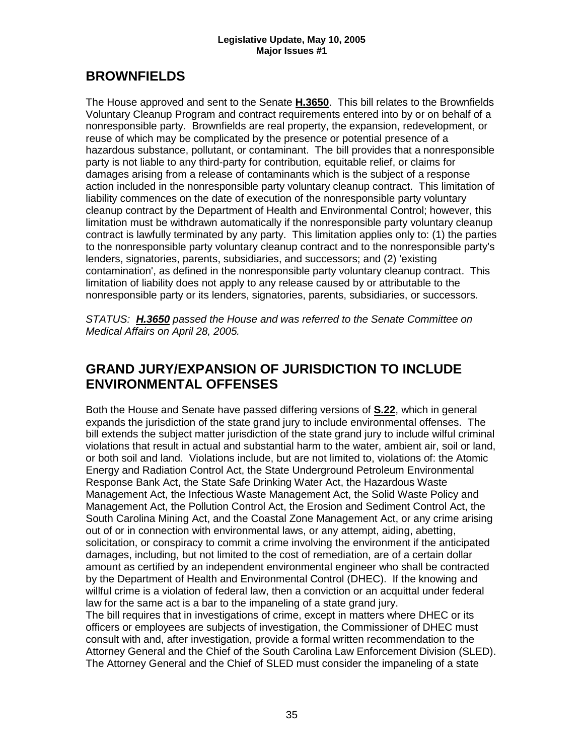## **BROWNFIELDS**

The House approved and sent to the Senate **H.3650**. This bill relates to the Brownfields Voluntary Cleanup Program and contract requirements entered into by or on behalf of a nonresponsible party. Brownfields are real property, the expansion, redevelopment, or reuse of which may be complicated by the presence or potential presence of a hazardous substance, pollutant, or contaminant. The bill provides that a nonresponsible party is not liable to any third-party for contribution, equitable relief, or claims for damages arising from a release of contaminants which is the subject of a response action included in the nonresponsible party voluntary cleanup contract. This limitation of liability commences on the date of execution of the nonresponsible party voluntary cleanup contract by the Department of Health and Environmental Control; however, this limitation must be withdrawn automatically if the nonresponsible party voluntary cleanup contract is lawfully terminated by any party. This limitation applies only to: (1) the parties to the nonresponsible party voluntary cleanup contract and to the nonresponsible party's lenders, signatories, parents, subsidiaries, and successors; and (2) 'existing contamination', as defined in the nonresponsible party voluntary cleanup contract. This limitation of liability does not apply to any release caused by or attributable to the nonresponsible party or its lenders, signatories, parents, subsidiaries, or successors.

*STATUS: H.3650 passed the House and was referred to the Senate Committee on Medical Affairs on April 28, 2005.*

## **GRAND JURY/EXPANSION OF JURISDICTION TO INCLUDE ENVIRONMENTAL OFFENSES**

Both the House and Senate have passed differing versions of **S.22**, which in general expands the jurisdiction of the state grand jury to include environmental offenses. The bill extends the subject matter jurisdiction of the state grand jury to include wilful criminal violations that result in actual and substantial harm to the water, ambient air, soil or land, or both soil and land. Violations include, but are not limited to, violations of: the Atomic Energy and Radiation Control Act, the State Underground Petroleum Environmental Response Bank Act, the State Safe Drinking Water Act, the Hazardous Waste Management Act, the Infectious Waste Management Act, the Solid Waste Policy and Management Act, the Pollution Control Act, the Erosion and Sediment Control Act, the South Carolina Mining Act, and the Coastal Zone Management Act, or any crime arising out of or in connection with environmental laws, or any attempt, aiding, abetting, solicitation, or conspiracy to commit a crime involving the environment if the anticipated damages, including, but not limited to the cost of remediation, are of a certain dollar amount as certified by an independent environmental engineer who shall be contracted by the Department of Health and Environmental Control (DHEC). If the knowing and willful crime is a violation of federal law, then a conviction or an acquittal under federal law for the same act is a bar to the impaneling of a state grand jury.

The bill requires that in investigations of crime, except in matters where DHEC or its officers or employees are subjects of investigation, the Commissioner of DHEC must consult with and, after investigation, provide a formal written recommendation to the Attorney General and the Chief of the South Carolina Law Enforcement Division (SLED). The Attorney General and the Chief of SLED must consider the impaneling of a state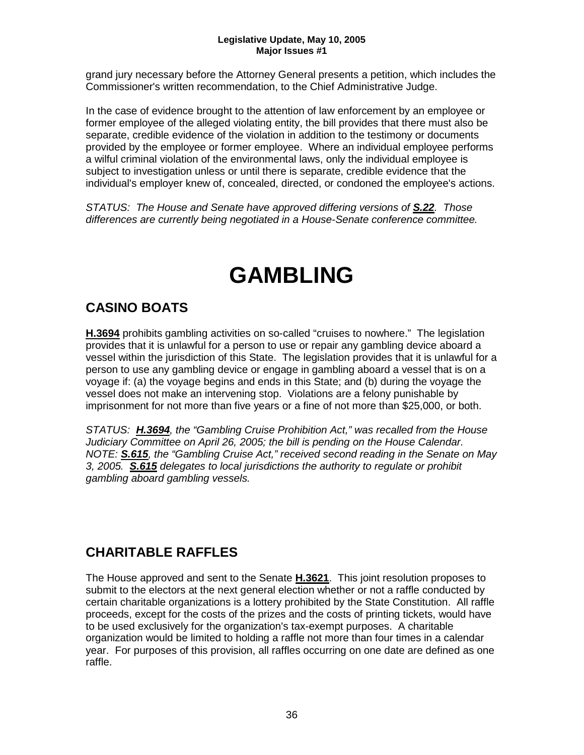grand jury necessary before the Attorney General presents a petition, which includes the Commissioner's written recommendation, to the Chief Administrative Judge.

In the case of evidence brought to the attention of law enforcement by an employee or former employee of the alleged violating entity, the bill provides that there must also be separate, credible evidence of the violation in addition to the testimony or documents provided by the employee or former employee. Where an individual employee performs a wilful criminal violation of the environmental laws, only the individual employee is subject to investigation unless or until there is separate, credible evidence that the individual's employer knew of, concealed, directed, or condoned the employee's actions.

*STATUS: The House and Senate have approved differing versions of S.22. Those differences are currently being negotiated in a House-Senate conference committee.*

## **GAMBLING**

## **CASINO BOATS**

**H.3694** prohibits gambling activities on so-called "cruises to nowhere." The legislation provides that it is unlawful for a person to use or repair any gambling device aboard a vessel within the jurisdiction of this State. The legislation provides that it is unlawful for a person to use any gambling device or engage in gambling aboard a vessel that is on a voyage if: (a) the voyage begins and ends in this State; and (b) during the voyage the vessel does not make an intervening stop. Violations are a felony punishable by imprisonment for not more than five years or a fine of not more than \$25,000, or both.

*STATUS: H.3694, the "Gambling Cruise Prohibition Act," was recalled from the House Judiciary Committee on April 26, 2005; the bill is pending on the House Calendar. NOTE: S.615, the "Gambling Cruise Act," received second reading in the Senate on May 3, 2005. S.615 delegates to local jurisdictions the authority to regulate or prohibit gambling aboard gambling vessels.*

## **CHARITABLE RAFFLES**

The House approved and sent to the Senate **H.3621**. This joint resolution proposes to submit to the electors at the next general election whether or not a raffle conducted by certain charitable organizations is a lottery prohibited by the State Constitution. All raffle proceeds, except for the costs of the prizes and the costs of printing tickets, would have to be used exclusively for the organization's tax-exempt purposes. A charitable organization would be limited to holding a raffle not more than four times in a calendar year. For purposes of this provision, all raffles occurring on one date are defined as one raffle.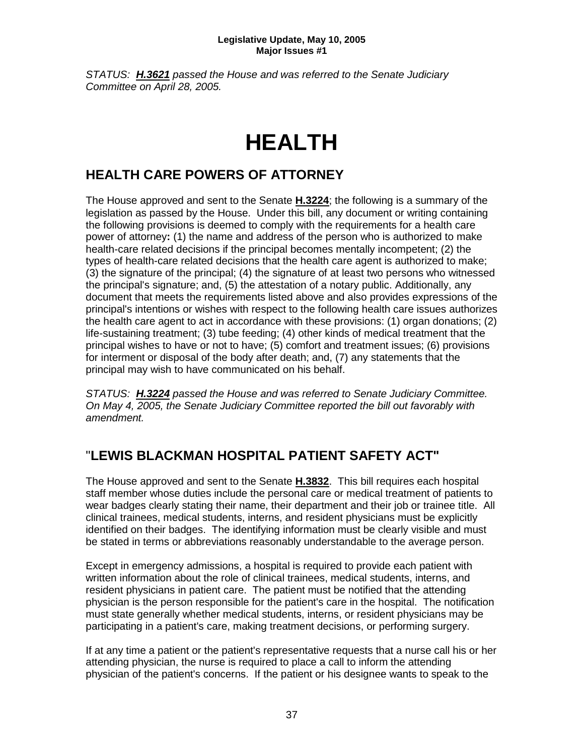*STATUS: H.3621 passed the House and was referred to the Senate Judiciary Committee on April 28, 2005.*

## **HEALTH**

## **HEALTH CARE POWERS OF ATTORNEY**

The House approved and sent to the Senate **H.3224**; the following is a summary of the legislation as passed by the House. Under this bill, any document or writing containing the following provisions is deemed to comply with the requirements for a health care power of attorney**:** (1) the name and address of the person who is authorized to make health-care related decisions if the principal becomes mentally incompetent; (2) the types of health-care related decisions that the health care agent is authorized to make; (3) the signature of the principal; (4) the signature of at least two persons who witnessed the principal's signature; and, (5) the attestation of a notary public. Additionally, any document that meets the requirements listed above and also provides expressions of the principal's intentions or wishes with respect to the following health care issues authorizes the health care agent to act in accordance with these provisions: (1) organ donations; (2) life-sustaining treatment; (3) tube feeding; (4) other kinds of medical treatment that the principal wishes to have or not to have; (5) comfort and treatment issues; (6) provisions for interment or disposal of the body after death; and, (7) any statements that the principal may wish to have communicated on his behalf.

*STATUS: H.3224 passed the House and was referred to Senate Judiciary Committee. On May 4, 2005, the Senate Judiciary Committee reported the bill out favorably with amendment.*

## "**LEWIS BLACKMAN HOSPITAL PATIENT SAFETY ACT"**

The House approved and sent to the Senate **H.3832**. This bill requires each hospital staff member whose duties include the personal care or medical treatment of patients to wear badges clearly stating their name, their department and their job or trainee title. All clinical trainees, medical students, interns, and resident physicians must be explicitly identified on their badges. The identifying information must be clearly visible and must be stated in terms or abbreviations reasonably understandable to the average person.

Except in emergency admissions, a hospital is required to provide each patient with written information about the role of clinical trainees, medical students, interns, and resident physicians in patient care. The patient must be notified that the attending physician is the person responsible for the patient's care in the hospital. The notification must state generally whether medical students, interns, or resident physicians may be participating in a patient's care, making treatment decisions, or performing surgery.

If at any time a patient or the patient's representative requests that a nurse call his or her attending physician, the nurse is required to place a call to inform the attending physician of the patient's concerns. If the patient or his designee wants to speak to the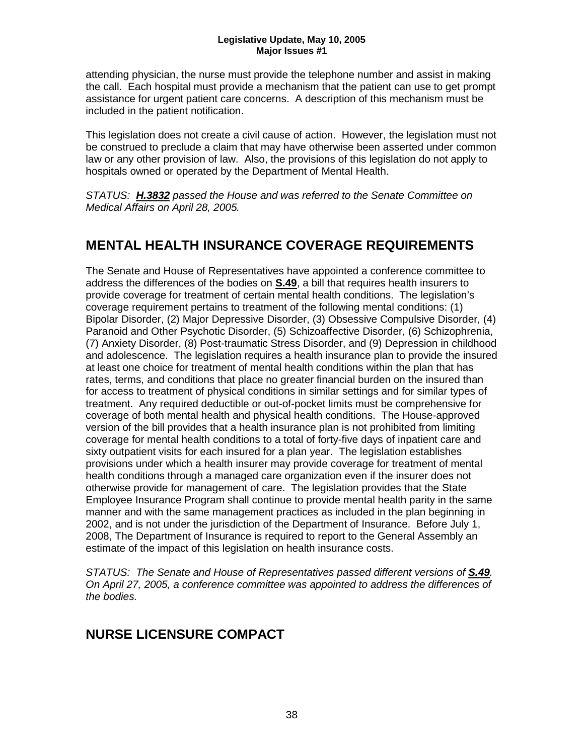attending physician, the nurse must provide the telephone number and assist in making the call. Each hospital must provide a mechanism that the patient can use to get prompt assistance for urgent patient care concerns. A description of this mechanism must be included in the patient notification.

This legislation does not create a civil cause of action. However, the legislation must not be construed to preclude a claim that may have otherwise been asserted under common law or any other provision of law. Also, the provisions of this legislation do not apply to hospitals owned or operated by the Department of Mental Health.

*STATUS: H.3832 passed the House and was referred to the Senate Committee on Medical Affairs on April 28, 2005.*

## **MENTAL HEALTH INSURANCE COVERAGE REQUIREMENTS**

The Senate and House of Representatives have appointed a conference committee to address the differences of the bodies on **S.49**, a bill that requires health insurers to provide coverage for treatment of certain mental health conditions. The legislation's coverage requirement pertains to treatment of the following mental conditions: (1) Bipolar Disorder, (2) Major Depressive Disorder, (3) Obsessive Compulsive Disorder, (4) Paranoid and Other Psychotic Disorder, (5) Schizoaffective Disorder, (6) Schizophrenia, (7) Anxiety Disorder, (8) Post-traumatic Stress Disorder, and (9) Depression in childhood and adolescence. The legislation requires a health insurance plan to provide the insured at least one choice for treatment of mental health conditions within the plan that has rates, terms, and conditions that place no greater financial burden on the insured than for access to treatment of physical conditions in similar settings and for similar types of treatment. Any required deductible or out-of-pocket limits must be comprehensive for coverage of both mental health and physical health conditions. The House-approved version of the bill provides that a health insurance plan is not prohibited from limiting coverage for mental health conditions to a total of forty-five days of inpatient care and sixty outpatient visits for each insured for a plan year. The legislation establishes provisions under which a health insurer may provide coverage for treatment of mental health conditions through a managed care organization even if the insurer does not otherwise provide for management of care. The legislation provides that the State Employee Insurance Program shall continue to provide mental health parity in the same manner and with the same management practices as included in the plan beginning in 2002, and is not under the jurisdiction of the Department of Insurance. Before July 1, 2008, The Department of Insurance is required to report to the General Assembly an estimate of the impact of this legislation on health insurance costs.

STATUS: The Senate and House of Representatives passed different versions of **S.49**. *On April 27, 2005, a conference committee was appointed to address the differences of the bodies.*

## **NURSE LICENSURE COMPACT**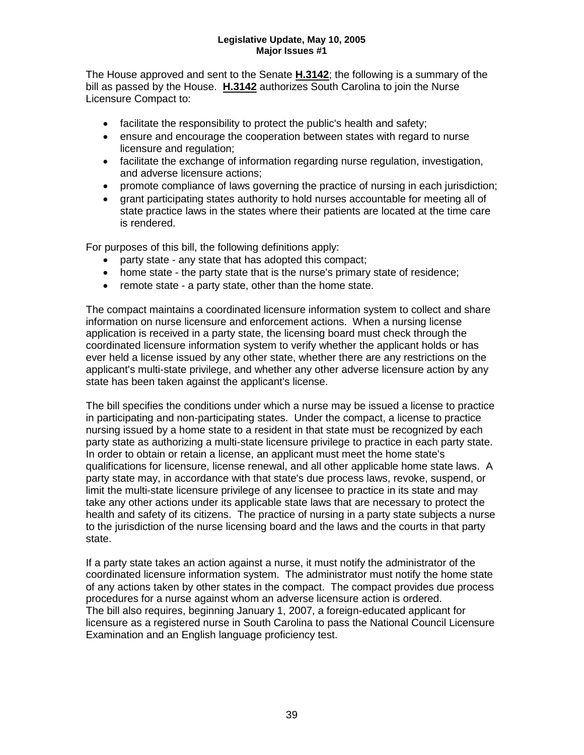The House approved and sent to the Senate **H.3142**; the following is a summary of the bill as passed by the House. **H.3142** authorizes South Carolina to join the Nurse Licensure Compact to:

- facilitate the responsibility to protect the public's health and safety;
- ensure and encourage the cooperation between states with regard to nurse licensure and regulation;
- facilitate the exchange of information regarding nurse regulation, investigation, and adverse licensure actions;
- promote compliance of laws governing the practice of nursing in each jurisdiction;
- grant participating states authority to hold nurses accountable for meeting all of state practice laws in the states where their patients are located at the time care is rendered.

For purposes of this bill, the following definitions apply:

- party state any state that has adopted this compact;
- home state the party state that is the nurse's primary state of residence;
- remote state a party state, other than the home state.

The compact maintains a coordinated licensure information system to collect and share information on nurse licensure and enforcement actions. When a nursing license application is received in a party state, the licensing board must check through the coordinated licensure information system to verify whether the applicant holds or has ever held a license issued by any other state, whether there are any restrictions on the applicant's multi-state privilege, and whether any other adverse licensure action by any state has been taken against the applicant's license.

The bill specifies the conditions under which a nurse may be issued a license to practice in participating and non-participating states. Under the compact, a license to practice nursing issued by a home state to a resident in that state must be recognized by each party state as authorizing a multi-state licensure privilege to practice in each party state. In order to obtain or retain a license, an applicant must meet the home state's qualifications for licensure, license renewal, and all other applicable home state laws. A party state may, in accordance with that state's due process laws, revoke, suspend, or limit the multi-state licensure privilege of any licensee to practice in its state and may take any other actions under its applicable state laws that are necessary to protect the health and safety of its citizens. The practice of nursing in a party state subjects a nurse to the jurisdiction of the nurse licensing board and the laws and the courts in that party state.

If a party state takes an action against a nurse, it must notify the administrator of the coordinated licensure information system. The administrator must notify the home state of any actions taken by other states in the compact. The compact provides due process procedures for a nurse against whom an adverse licensure action is ordered. The bill also requires, beginning January 1, 2007, a foreign-educated applicant for licensure as a registered nurse in South Carolina to pass the National Council Licensure Examination and an English language proficiency test.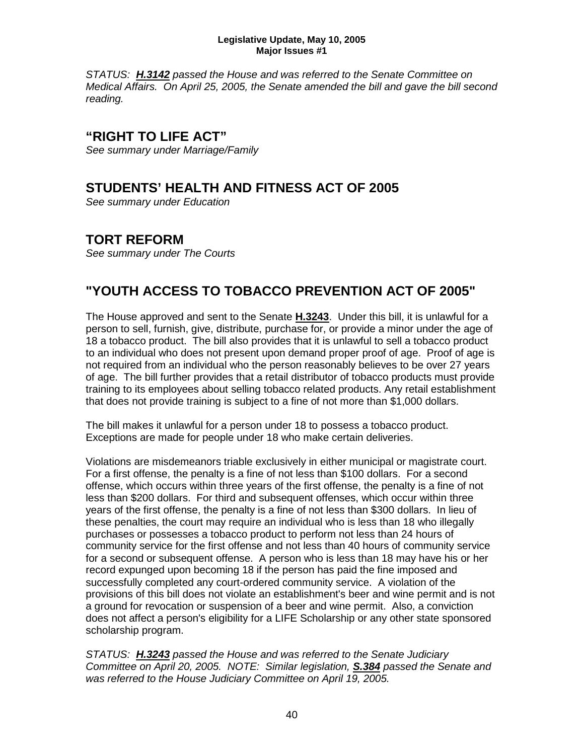*STATUS: H.3142 passed the House and was referred to the Senate Committee on Medical Affairs. On April 25, 2005, the Senate amended the bill and gave the bill second reading.*

### **"RIGHT TO LIFE ACT"**

*See summary under Marriage/Family*

## **STUDENTS' HEALTH AND FITNESS ACT OF 2005**

*See summary under Education*

## **TORT REFORM**

*See summary under The Courts*

## **"YOUTH ACCESS TO TOBACCO PREVENTION ACT OF 2005"**

The House approved and sent to the Senate **H.3243**. Under this bill, it is unlawful for a person to sell, furnish, give, distribute, purchase for, or provide a minor under the age of 18 a tobacco product. The bill also provides that it is unlawful to sell a tobacco product to an individual who does not present upon demand proper proof of age. Proof of age is not required from an individual who the person reasonably believes to be over 27 years of age. The bill further provides that a retail distributor of tobacco products must provide training to its employees about selling tobacco related products. Any retail establishment that does not provide training is subject to a fine of not more than \$1,000 dollars.

The bill makes it unlawful for a person under 18 to possess a tobacco product. Exceptions are made for people under 18 who make certain deliveries.

Violations are misdemeanors triable exclusively in either municipal or magistrate court. For a first offense, the penalty is a fine of not less than \$100 dollars. For a second offense, which occurs within three years of the first offense, the penalty is a fine of not less than \$200 dollars. For third and subsequent offenses, which occur within three years of the first offense, the penalty is a fine of not less than \$300 dollars. In lieu of these penalties, the court may require an individual who is less than 18 who illegally purchases or possesses a tobacco product to perform not less than 24 hours of community service for the first offense and not less than 40 hours of community service for a second or subsequent offense. A person who is less than 18 may have his or her record expunged upon becoming 18 if the person has paid the fine imposed and successfully completed any court-ordered community service. A violation of the provisions of this bill does not violate an establishment's beer and wine permit and is not a ground for revocation or suspension of a beer and wine permit. Also, a conviction does not affect a person's eligibility for a LIFE Scholarship or any other state sponsored scholarship program.

*STATUS: H.3243 passed the House and was referred to the Senate Judiciary Committee on April 20, 2005. NOTE: Similar legislation, S.384 passed the Senate and was referred to the House Judiciary Committee on April 19, 2005.*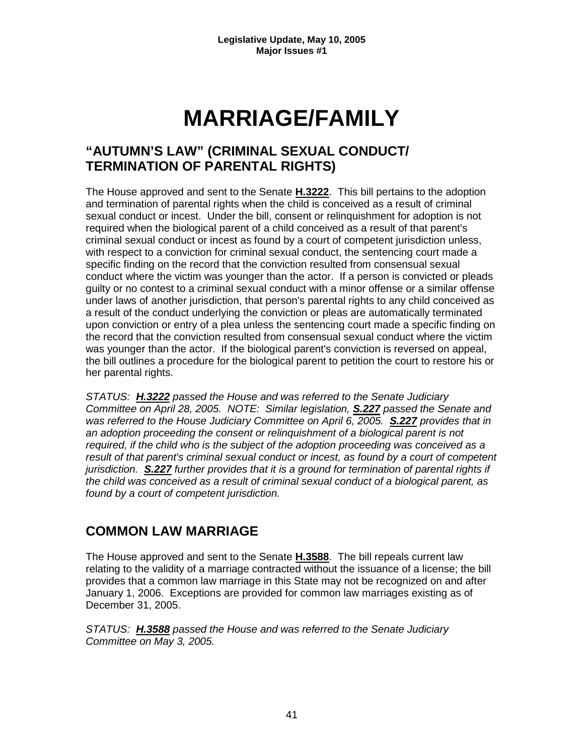## **MARRIAGE/FAMILY**

## **"AUTUMN'S LAW" (CRIMINAL SEXUAL CONDUCT/ TERMINATION OF PARENTAL RIGHTS)**

The House approved and sent to the Senate **H.3222**. This bill pertains to the adoption and termination of parental rights when the child is conceived as a result of criminal sexual conduct or incest. Under the bill, consent or relinquishment for adoption is not required when the biological parent of a child conceived as a result of that parent's criminal sexual conduct or incest as found by a court of competent jurisdiction unless, with respect to a conviction for criminal sexual conduct, the sentencing court made a specific finding on the record that the conviction resulted from consensual sexual conduct where the victim was younger than the actor. If a person is convicted or pleads guilty or no contest to a criminal sexual conduct with a minor offense or a similar offense under laws of another jurisdiction, that person's parental rights to any child conceived as a result of the conduct underlying the conviction or pleas are automatically terminated upon conviction or entry of a plea unless the sentencing court made a specific finding on the record that the conviction resulted from consensual sexual conduct where the victim was younger than the actor. If the biological parent's conviction is reversed on appeal, the bill outlines a procedure for the biological parent to petition the court to restore his or her parental rights.

*STATUS: H.3222 passed the House and was referred to the Senate Judiciary Committee on April 28, 2005. NOTE: Similar legislation, S.227 passed the Senate and was referred to the House Judiciary Committee on April 6, 2005. S.227 provides that in an adoption proceeding the consent or relinquishment of a biological parent is not required, if the child who is the subject of the adoption proceeding was conceived as a result of that parent's criminal sexual conduct or incest, as found by a court of competent jurisdiction. S.227 further provides that it is a ground for termination of parental rights if the child was conceived as a result of criminal sexual conduct of a biological parent, as found by a court of competent jurisdiction.* 

## **COMMON LAW MARRIAGE**

The House approved and sent to the Senate **H.3588**. The bill repeals current law relating to the validity of a marriage contracted without the issuance of a license; the bill provides that a common law marriage in this State may not be recognized on and after January 1, 2006. Exceptions are provided for common law marriages existing as of December 31, 2005.

*STATUS: H.3588 passed the House and was referred to the Senate Judiciary Committee on May 3, 2005.*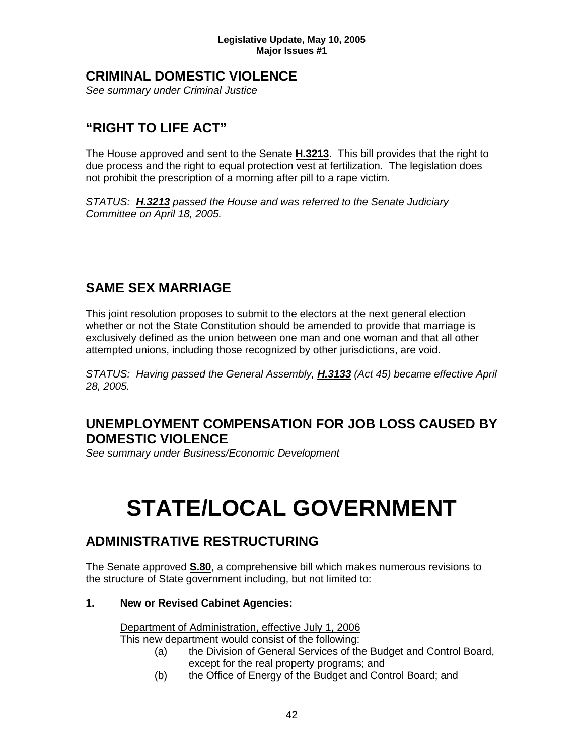### **CRIMINAL DOMESTIC VIOLENCE**

*See summary under Criminal Justice*

## **"RIGHT TO LIFE ACT"**

The House approved and sent to the Senate **H.3213**. This bill provides that the right to due process and the right to equal protection vest at fertilization. The legislation does not prohibit the prescription of a morning after pill to a rape victim.

*STATUS: H.3213 passed the House and was referred to the Senate Judiciary Committee on April 18, 2005.*

## **SAME SEX MARRIAGE**

This joint resolution proposes to submit to the electors at the next general election whether or not the State Constitution should be amended to provide that marriage is exclusively defined as the union between one man and one woman and that all other attempted unions, including those recognized by other jurisdictions, are void.

*STATUS: Having passed the General Assembly, H.3133 (Act 45) became effective April 28, 2005.*

### **UNEMPLOYMENT COMPENSATION FOR JOB LOSS CAUSED BY DOMESTIC VIOLENCE**

*See summary under Business/Economic Development*

## **STATE/LOCAL GOVERNMENT**

## **ADMINISTRATIVE RESTRUCTURING**

The Senate approved **S.80**, a comprehensive bill which makes numerous revisions to the structure of State government including, but not limited to:

#### **1. New or Revised Cabinet Agencies:**

Department of Administration, effective July 1, 2006

This new department would consist of the following:

- (a) the Division of General Services of the Budget and Control Board, except for the real property programs; and
- (b) the Office of Energy of the Budget and Control Board; and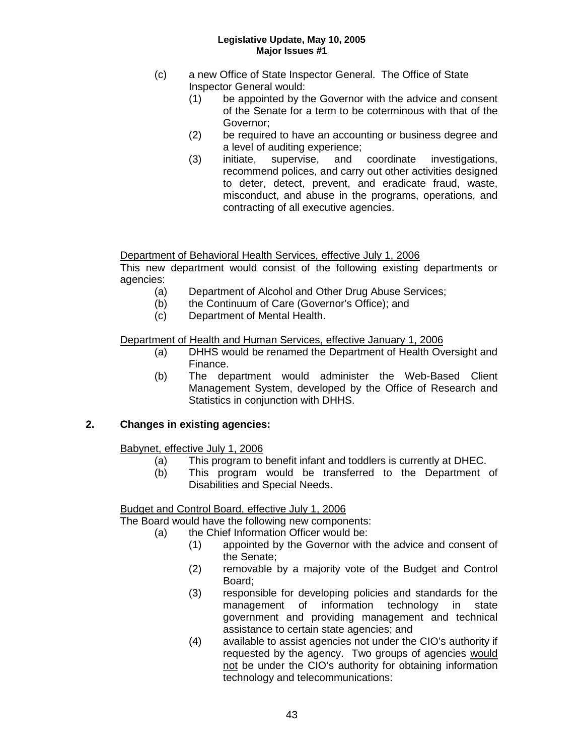- (c) a new Office of State Inspector General. The Office of State Inspector General would:
	- (1) be appointed by the Governor with the advice and consent of the Senate for a term to be coterminous with that of the Governor;
	- (2) be required to have an accounting or business degree and a level of auditing experience;
	- (3) initiate, supervise, and coordinate investigations, recommend polices, and carry out other activities designed to deter, detect, prevent, and eradicate fraud, waste, misconduct, and abuse in the programs, operations, and contracting of all executive agencies.

Department of Behavioral Health Services, effective July 1, 2006

This new department would consist of the following existing departments or agencies:

- (a) Department of Alcohol and Other Drug Abuse Services;
- (b) the Continuum of Care (Governor's Office); and
- (c) Department of Mental Health.

#### Department of Health and Human Services, effective January 1, 2006

- (a) DHHS would be renamed the Department of Health Oversight and Finance.
- (b) The department would administer the Web-Based Client Management System, developed by the Office of Research and Statistics in conjunction with DHHS.

#### **2. Changes in existing agencies:**

- Babynet, effective July 1, 2006
	- (a) This program to benefit infant and toddlers is currently at DHEC.
	- (b) This program would be transferred to the Department of Disabilities and Special Needs.

#### Budget and Control Board, effective July 1, 2006

The Board would have the following new components:

- (a) the Chief Information Officer would be:
	- (1) appointed by the Governor with the advice and consent of the Senate;
	- (2) removable by a majority vote of the Budget and Control Board;
	- (3) responsible for developing policies and standards for the management of information technology in state government and providing management and technical assistance to certain state agencies; and
	- (4) available to assist agencies not under the CIO's authority if requested by the agency. Two groups of agencies would not be under the CIO's authority for obtaining information technology and telecommunications: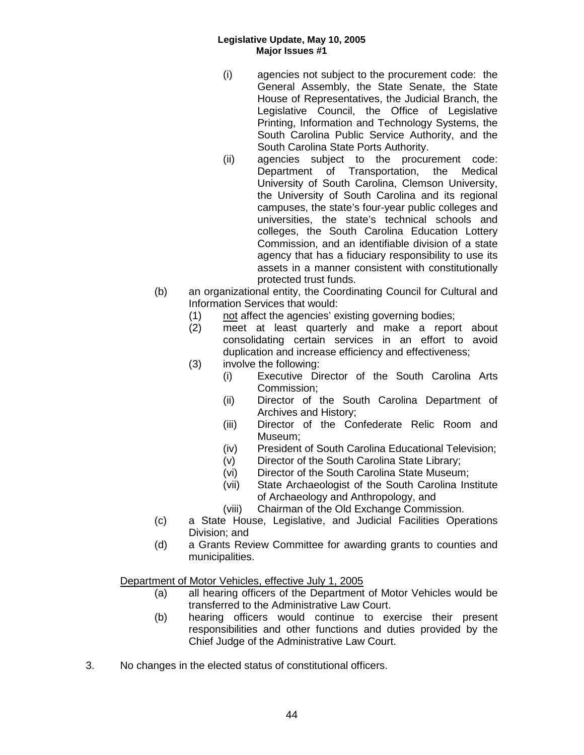- (i) agencies not subject to the procurement code: the General Assembly, the State Senate, the State House of Representatives, the Judicial Branch, the Legislative Council, the Office of Legislative Printing, Information and Technology Systems, the South Carolina Public Service Authority, and the South Carolina State Ports Authority.
- (ii) agencies subject to the procurement code: Department of Transportation, the Medical University of South Carolina, Clemson University, the University of South Carolina and its regional campuses, the state's four-year public colleges and universities, the state's technical schools and colleges, the South Carolina Education Lottery Commission, and an identifiable division of a state agency that has a fiduciary responsibility to use its assets in a manner consistent with constitutionally protected trust funds.
- (b) an organizational entity, the Coordinating Council for Cultural and Information Services that would:
	- (1) not affect the agencies' existing governing bodies;
	- (2) meet at least quarterly and make a report about consolidating certain services in an effort to avoid duplication and increase efficiency and effectiveness;
	- (3) involve the following:
		- (i) Executive Director of the South Carolina Arts Commission;
		- (ii) Director of the South Carolina Department of Archives and History;
		- (iii) Director of the Confederate Relic Room and Museum;
		- (iv) President of South Carolina Educational Television;
		- (v) Director of the South Carolina State Library;
		- (vi) Director of the South Carolina State Museum;
		- (vii) State Archaeologist of the South Carolina Institute of Archaeology and Anthropology, and
		- (viii) Chairman of the Old Exchange Commission.
- (c) a State House, Legislative, and Judicial Facilities Operations Division; and
- (d) a Grants Review Committee for awarding grants to counties and municipalities.

Department of Motor Vehicles, effective July 1, 2005

- (a) all hearing officers of the Department of Motor Vehicles would be transferred to the Administrative Law Court.
- (b) hearing officers would continue to exercise their present responsibilities and other functions and duties provided by the Chief Judge of the Administrative Law Court.
- 3. No changes in the elected status of constitutional officers.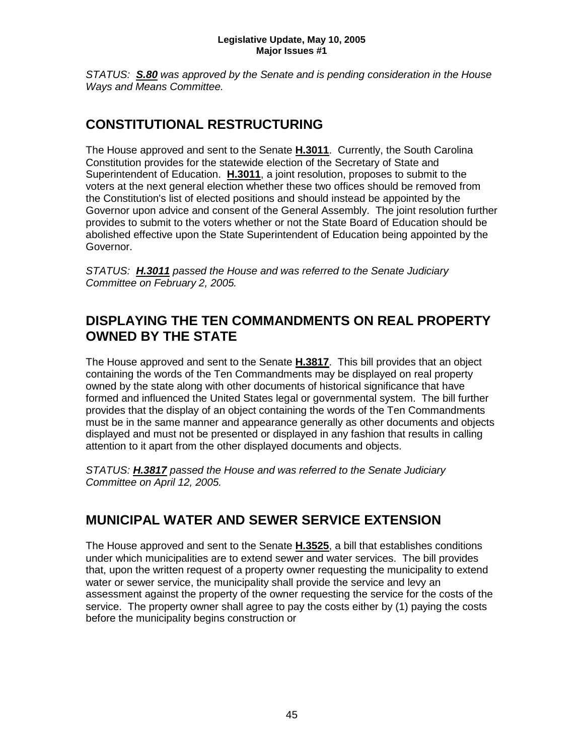*STATUS: S.80 was approved by the Senate and is pending consideration in the House Ways and Means Committee.*

## **CONSTITUTIONAL RESTRUCTURING**

The House approved and sent to the Senate **H.3011**. Currently, the South Carolina Constitution provides for the statewide election of the Secretary of State and Superintendent of Education. **H.3011**, a joint resolution, proposes to submit to the voters at the next general election whether these two offices should be removed from the Constitution's list of elected positions and should instead be appointed by the Governor upon advice and consent of the General Assembly. The joint resolution further provides to submit to the voters whether or not the State Board of Education should be abolished effective upon the State Superintendent of Education being appointed by the Governor.

*STATUS: H.3011 passed the House and was referred to the Senate Judiciary Committee on February 2, 2005.*

## **DISPLAYING THE TEN COMMANDMENTS ON REAL PROPERTY OWNED BY THE STATE**

The House approved and sent to the Senate **H.3817**. This bill provides that an object containing the words of the Ten Commandments may be displayed on real property owned by the state along with other documents of historical significance that have formed and influenced the United States legal or governmental system. The bill further provides that the display of an object containing the words of the Ten Commandments must be in the same manner and appearance generally as other documents and objects displayed and must not be presented or displayed in any fashion that results in calling attention to it apart from the other displayed documents and objects.

*STATUS: H.3817 passed the House and was referred to the Senate Judiciary Committee on April 12, 2005.*

## **MUNICIPAL WATER AND SEWER SERVICE EXTENSION**

The House approved and sent to the Senate **H.3525**, a bill that establishes conditions under which municipalities are to extend sewer and water services. The bill provides that, upon the written request of a property owner requesting the municipality to extend water or sewer service, the municipality shall provide the service and levy an assessment against the property of the owner requesting the service for the costs of the service. The property owner shall agree to pay the costs either by (1) paying the costs before the municipality begins construction or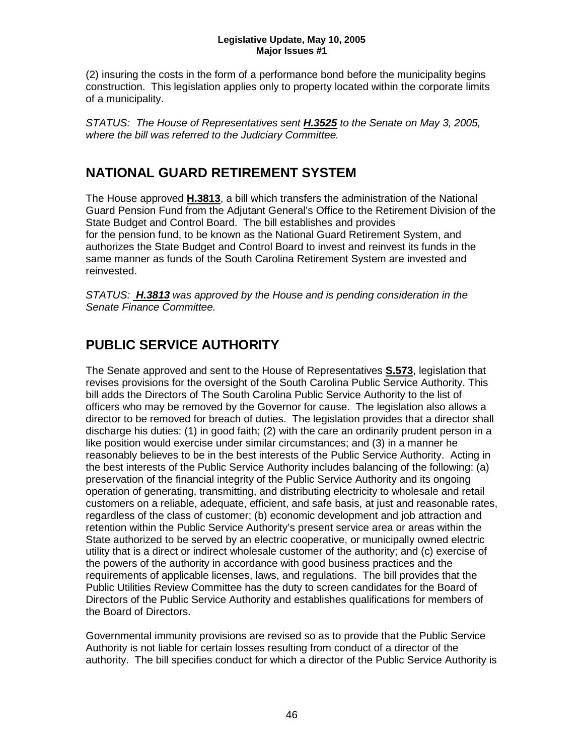(2) insuring the costs in the form of a performance bond before the municipality begins construction. This legislation applies only to property located within the corporate limits of a municipality.

*STATUS: The House of Representatives sent H.3525 to the Senate on May 3, 2005, where the bill was referred to the Judiciary Committee.*

## **NATIONAL GUARD RETIREMENT SYSTEM**

The House approved **H.3813**, a bill which transfers the administration of the National Guard Pension Fund from the Adjutant General's Office to the Retirement Division of the State Budget and Control Board. The bill establishes and provides for the pension fund, to be known as the National Guard Retirement System, and authorizes the State Budget and Control Board to invest and reinvest its funds in the same manner as funds of the South Carolina Retirement System are invested and reinvested.

*STATUS: H.3813 was approved by the House and is pending consideration in the Senate Finance Committee.* 

## **PUBLIC SERVICE AUTHORITY**

The Senate approved and sent to the House of Representatives **S.573**, legislation that revises provisions for the oversight of the South Carolina Public Service Authority. This bill adds the Directors of The South Carolina Public Service Authority to the list of officers who may be removed by the Governor for cause. The legislation also allows a director to be removed for breach of duties. The legislation provides that a director shall discharge his duties: (1) in good faith; (2) with the care an ordinarily prudent person in a like position would exercise under similar circumstances; and (3) in a manner he reasonably believes to be in the best interests of the Public Service Authority. Acting in the best interests of the Public Service Authority includes balancing of the following: (a) preservation of the financial integrity of the Public Service Authority and its ongoing operation of generating, transmitting, and distributing electricity to wholesale and retail customers on a reliable, adequate, efficient, and safe basis, at just and reasonable rates, regardless of the class of customer; (b) economic development and job attraction and retention within the Public Service Authority's present service area or areas within the State authorized to be served by an electric cooperative, or municipally owned electric utility that is a direct or indirect wholesale customer of the authority; and (c) exercise of the powers of the authority in accordance with good business practices and the requirements of applicable licenses, laws, and regulations. The bill provides that the Public Utilities Review Committee has the duty to screen candidates for the Board of Directors of the Public Service Authority and establishes qualifications for members of the Board of Directors.

Governmental immunity provisions are revised so as to provide that the Public Service Authority is not liable for certain losses resulting from conduct of a director of the authority. The bill specifies conduct for which a director of the Public Service Authority is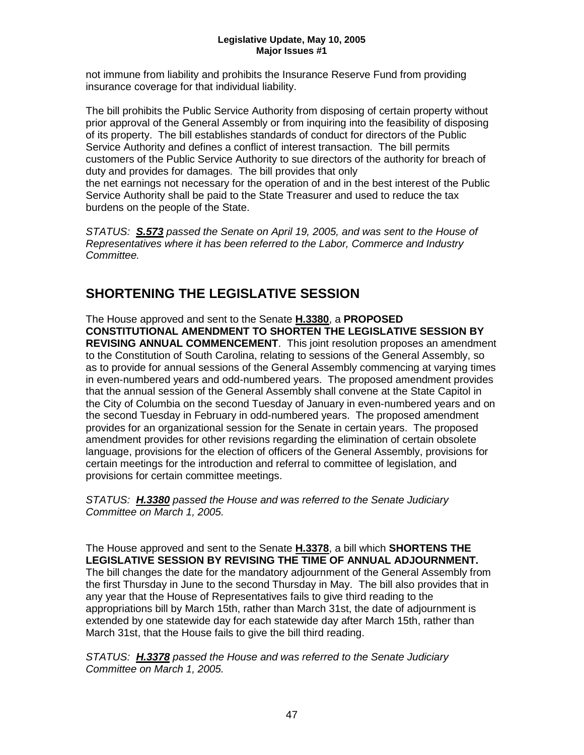not immune from liability and prohibits the Insurance Reserve Fund from providing insurance coverage for that individual liability.

The bill prohibits the Public Service Authority from disposing of certain property without prior approval of the General Assembly or from inquiring into the feasibility of disposing of its property. The bill establishes standards of conduct for directors of the Public Service Authority and defines a conflict of interest transaction. The bill permits customers of the Public Service Authority to sue directors of the authority for breach of duty and provides for damages. The bill provides that only the net earnings not necessary for the operation of and in the best interest of the Public Service Authority shall be paid to the State Treasurer and used to reduce the tax burdens on the people of the State.

*STATUS: S.573 passed the Senate on April 19, 2005, and was sent to the House of Representatives where it has been referred to the Labor, Commerce and Industry Committee.*

## **SHORTENING THE LEGISLATIVE SESSION**

The House approved and sent to the Senate **H.3380**, a **PROPOSED CONSTITUTIONAL AMENDMENT TO SHORTEN THE LEGISLATIVE SESSION BY REVISING ANNUAL COMMENCEMENT**. This joint resolution proposes an amendment to the Constitution of South Carolina, relating to sessions of the General Assembly, so as to provide for annual sessions of the General Assembly commencing at varying times in even-numbered years and odd-numbered years. The proposed amendment provides that the annual session of the General Assembly shall convene at the State Capitol in the City of Columbia on the second Tuesday of January in even-numbered years and on the second Tuesday in February in odd-numbered years. The proposed amendment provides for an organizational session for the Senate in certain years. The proposed amendment provides for other revisions regarding the elimination of certain obsolete language, provisions for the election of officers of the General Assembly, provisions for certain meetings for the introduction and referral to committee of legislation, and provisions for certain committee meetings.

*STATUS: H.3380 passed the House and was referred to the Senate Judiciary Committee on March 1, 2005.*

The House approved and sent to the Senate **H.3378**, a bill which **SHORTENS THE LEGISLATIVE SESSION BY REVISING THE TIME OF ANNUAL ADJOURNMENT.**  The bill changes the date for the mandatory adjournment of the General Assembly from the first Thursday in June to the second Thursday in May. The bill also provides that in any year that the House of Representatives fails to give third reading to the appropriations bill by March 15th, rather than March 31st, the date of adjournment is extended by one statewide day for each statewide day after March 15th, rather than March 31st, that the House fails to give the bill third reading.

*STATUS: H.3378 passed the House and was referred to the Senate Judiciary Committee on March 1, 2005.*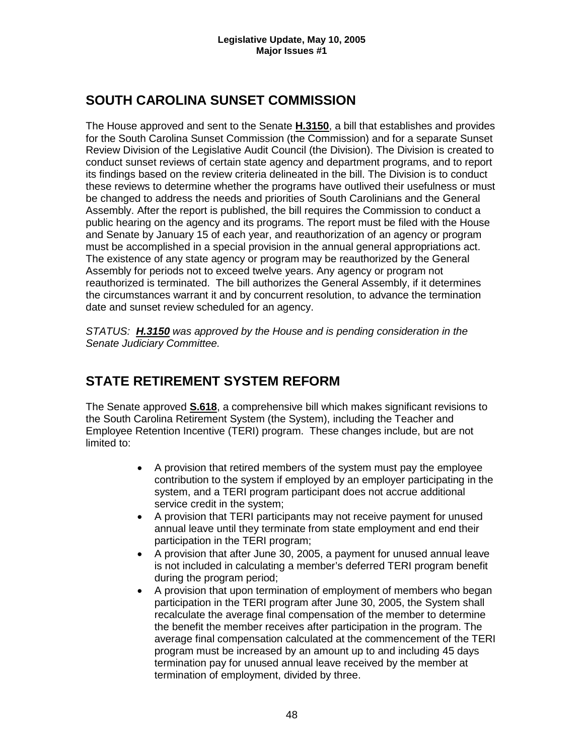## **SOUTH CAROLINA SUNSET COMMISSION**

The House approved and sent to the Senate **H.3150**, a bill that establishes and provides for the South Carolina Sunset Commission (the Commission) and for a separate Sunset Review Division of the Legislative Audit Council (the Division). The Division is created to conduct sunset reviews of certain state agency and department programs, and to report its findings based on the review criteria delineated in the bill. The Division is to conduct these reviews to determine whether the programs have outlived their usefulness or must be changed to address the needs and priorities of South Carolinians and the General Assembly. After the report is published, the bill requires the Commission to conduct a public hearing on the agency and its programs. The report must be filed with the House and Senate by January 15 of each year, and reauthorization of an agency or program must be accomplished in a special provision in the annual general appropriations act. The existence of any state agency or program may be reauthorized by the General Assembly for periods not to exceed twelve years. Any agency or program not reauthorized is terminated. The bill authorizes the General Assembly, if it determines the circumstances warrant it and by concurrent resolution, to advance the termination date and sunset review scheduled for an agency.

*STATUS: H.3150 was approved by the House and is pending consideration in the Senate Judiciary Committee.*

## **STATE RETIREMENT SYSTEM REFORM**

The Senate approved **S.618**, a comprehensive bill which makes significant revisions to the South Carolina Retirement System (the System), including the Teacher and Employee Retention Incentive (TERI) program. These changes include, but are not limited to:

- A provision that retired members of the system must pay the employee contribution to the system if employed by an employer participating in the system, and a TERI program participant does not accrue additional service credit in the system;
- A provision that TERI participants may not receive payment for unused annual leave until they terminate from state employment and end their participation in the TERI program;
- A provision that after June 30, 2005, a payment for unused annual leave is not included in calculating a member's deferred TERI program benefit during the program period;
- A provision that upon termination of employment of members who began participation in the TERI program after June 30, 2005, the System shall recalculate the average final compensation of the member to determine the benefit the member receives after participation in the program. The average final compensation calculated at the commencement of the TERI program must be increased by an amount up to and including 45 days termination pay for unused annual leave received by the member at termination of employment, divided by three.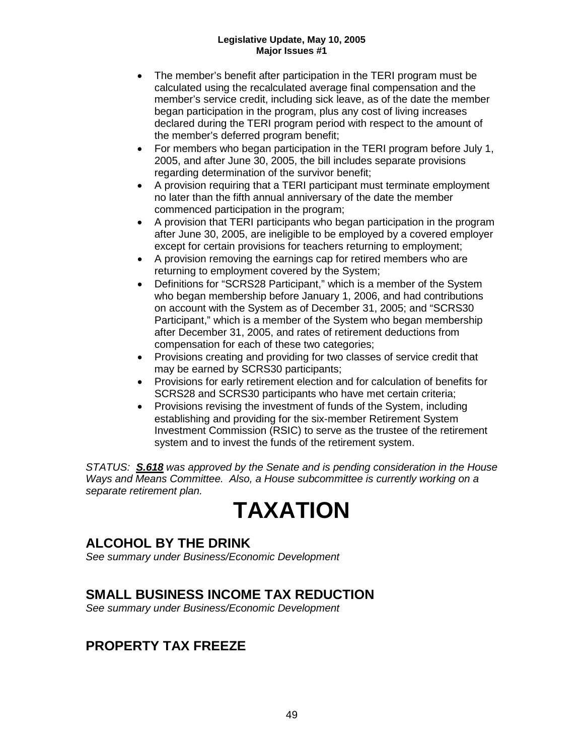- The member's benefit after participation in the TERI program must be calculated using the recalculated average final compensation and the member's service credit, including sick leave, as of the date the member began participation in the program, plus any cost of living increases declared during the TERI program period with respect to the amount of the member's deferred program benefit;
- For members who began participation in the TERI program before July 1, 2005, and after June 30, 2005, the bill includes separate provisions regarding determination of the survivor benefit;
- A provision requiring that a TERI participant must terminate employment no later than the fifth annual anniversary of the date the member commenced participation in the program;
- A provision that TERI participants who began participation in the program after June 30, 2005, are ineligible to be employed by a covered employer except for certain provisions for teachers returning to employment;
- A provision removing the earnings cap for retired members who are returning to employment covered by the System;
- Definitions for "SCRS28 Participant," which is a member of the System who began membership before January 1, 2006, and had contributions on account with the System as of December 31, 2005; and "SCRS30 Participant," which is a member of the System who began membership after December 31, 2005, and rates of retirement deductions from compensation for each of these two categories;
- Provisions creating and providing for two classes of service credit that may be earned by SCRS30 participants;
- Provisions for early retirement election and for calculation of benefits for SCRS28 and SCRS30 participants who have met certain criteria;
- Provisions revising the investment of funds of the System, including establishing and providing for the six-member Retirement System Investment Commission (RSIC) to serve as the trustee of the retirement system and to invest the funds of the retirement system.

*STATUS: S.618 was approved by the Senate and is pending consideration in the House Ways and Means Committee. Also, a House subcommittee is currently working on a separate retirement plan.*

## **TAXATION**

## **ALCOHOL BY THE DRINK**

*See summary under Business/Economic Development*

### **SMALL BUSINESS INCOME TAX REDUCTION**

*See summary under Business/Economic Development*

## **PROPERTY TAX FREEZE**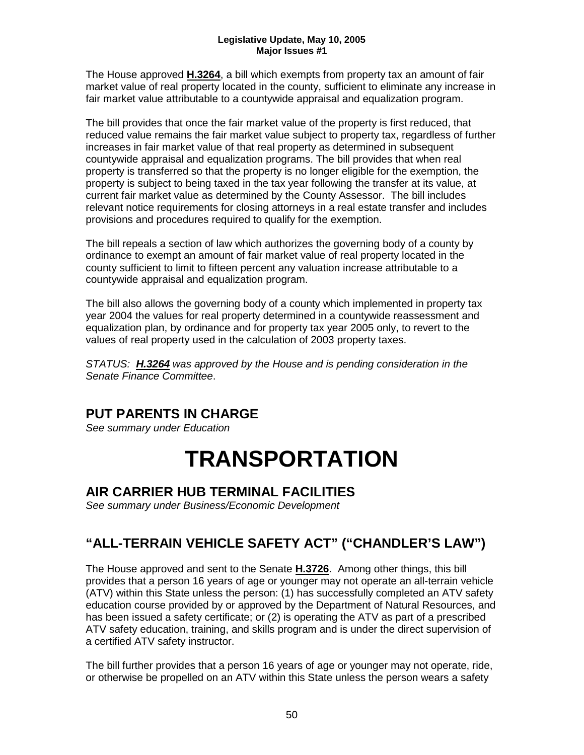The House approved **H.3264**, a bill which exempts from property tax an amount of fair market value of real property located in the county, sufficient to eliminate any increase in fair market value attributable to a countywide appraisal and equalization program.

The bill provides that once the fair market value of the property is first reduced, that reduced value remains the fair market value subject to property tax, regardless of further increases in fair market value of that real property as determined in subsequent countywide appraisal and equalization programs. The bill provides that when real property is transferred so that the property is no longer eligible for the exemption, the property is subject to being taxed in the tax year following the transfer at its value, at current fair market value as determined by the County Assessor. The bill includes relevant notice requirements for closing attorneys in a real estate transfer and includes provisions and procedures required to qualify for the exemption.

The bill repeals a section of law which authorizes the governing body of a county by ordinance to exempt an amount of fair market value of real property located in the county sufficient to limit to fifteen percent any valuation increase attributable to a countywide appraisal and equalization program.

The bill also allows the governing body of a county which implemented in property tax year 2004 the values for real property determined in a countywide reassessment and equalization plan, by ordinance and for property tax year 2005 only, to revert to the values of real property used in the calculation of 2003 property taxes.

*STATUS: H.3264 was approved by the House and is pending consideration in the Senate Finance Committee*.

## **PUT PARENTS IN CHARGE**

*See summary under Education*

## **TRANSPORTATION**

## **AIR CARRIER HUB TERMINAL FACILITIES**

*See summary under Business/Economic Development*

## **"ALL-TERRAIN VEHICLE SAFETY ACT" ("CHANDLER'S LAW")**

The House approved and sent to the Senate **H.3726**. Among other things, this bill provides that a person 16 years of age or younger may not operate an all-terrain vehicle (ATV) within this State unless the person: (1) has successfully completed an ATV safety education course provided by or approved by the Department of Natural Resources, and has been issued a safety certificate; or (2) is operating the ATV as part of a prescribed ATV safety education, training, and skills program and is under the direct supervision of a certified ATV safety instructor.

The bill further provides that a person 16 years of age or younger may not operate, ride, or otherwise be propelled on an ATV within this State unless the person wears a safety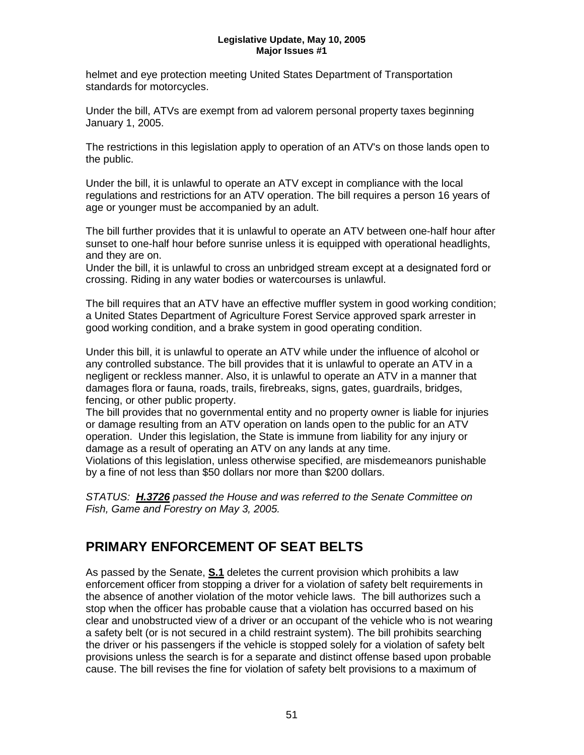helmet and eye protection meeting United States Department of Transportation standards for motorcycles.

Under the bill, ATVs are exempt from ad valorem personal property taxes beginning January 1, 2005.

The restrictions in this legislation apply to operation of an ATV's on those lands open to the public.

Under the bill, it is unlawful to operate an ATV except in compliance with the local regulations and restrictions for an ATV operation. The bill requires a person 16 years of age or younger must be accompanied by an adult.

The bill further provides that it is unlawful to operate an ATV between one-half hour after sunset to one-half hour before sunrise unless it is equipped with operational headlights, and they are on.

Under the bill, it is unlawful to cross an unbridged stream except at a designated ford or crossing. Riding in any water bodies or watercourses is unlawful.

The bill requires that an ATV have an effective muffler system in good working condition; a United States Department of Agriculture Forest Service approved spark arrester in good working condition, and a brake system in good operating condition.

Under this bill, it is unlawful to operate an ATV while under the influence of alcohol or any controlled substance. The bill provides that it is unlawful to operate an ATV in a negligent or reckless manner. Also, it is unlawful to operate an ATV in a manner that damages flora or fauna, roads, trails, firebreaks, signs, gates, guardrails, bridges, fencing, or other public property.

The bill provides that no governmental entity and no property owner is liable for injuries or damage resulting from an ATV operation on lands open to the public for an ATV operation. Under this legislation, the State is immune from liability for any injury or damage as a result of operating an ATV on any lands at any time. Violations of this legislation, unless otherwise specified, are misdemeanors punishable by a fine of not less than \$50 dollars nor more than \$200 dollars.

*STATUS: H.3726 passed the House and was referred to the Senate Committee on Fish, Game and Forestry on May 3, 2005.*

## **PRIMARY ENFORCEMENT OF SEAT BELTS**

As passed by the Senate, **S.1** deletes the current provision which prohibits a law enforcement officer from stopping a driver for a violation of safety belt requirements in the absence of another violation of the motor vehicle laws. The bill authorizes such a stop when the officer has probable cause that a violation has occurred based on his clear and unobstructed view of a driver or an occupant of the vehicle who is not wearing a safety belt (or is not secured in a child restraint system). The bill prohibits searching the driver or his passengers if the vehicle is stopped solely for a violation of safety belt provisions unless the search is for a separate and distinct offense based upon probable cause. The bill revises the fine for violation of safety belt provisions to a maximum of